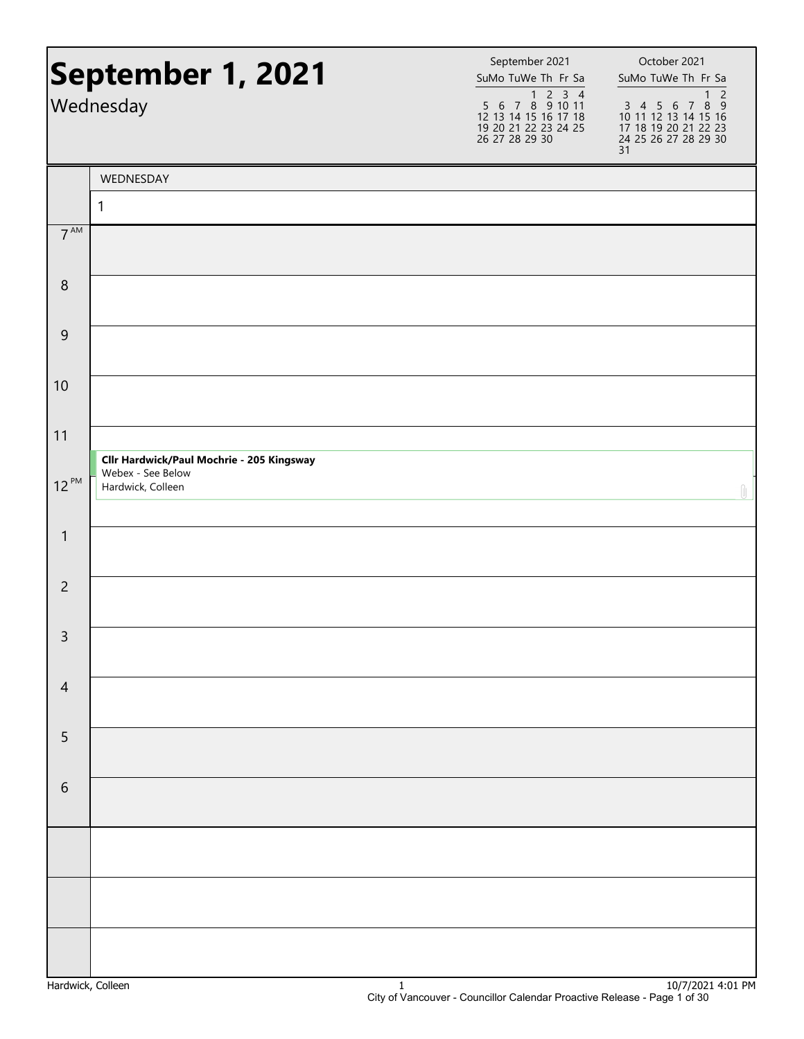| September 1, 2021<br>Wednesday |                                           | September 2021<br>SuMo TuWe Th Fr Sa<br>$\begin{array}{@{}c@{\hspace{1em}}c@{\hspace{1em}}c@{\hspace{1em}}c@{\hspace{1em}}c@{\hspace{1em}}c@{\hspace{1em}}c@{\hspace{1em}}c@{\hspace{1em}}c@{\hspace{1em}}c@{\hspace{1em}}c@{\hspace{1em}}c@{\hspace{1em}}c@{\hspace{1em}}c@{\hspace{1em}}c@{\hspace{1em}}c@{\hspace{1em}}c@{\hspace{1em}}c@{\hspace{1em}}c@{\hspace{1em}}c@{\hspace{1em}}c@{\hspace{1em}}c@{\hspace{1em}}c@{\hspace{1em}}c@{\hspace{$<br>12 13 14 15 16 17 18<br>19 20 21 22 23 24 25<br>26 27 28 29 30 | October 2021<br>SuMo TuWe Th Fr Sa<br>$\overline{c}$<br>$\mathbf{1}$<br>3 4 5 6 7 8 9<br>10 11 12 13 14 15 16<br>17 18 19 20 21 22 23<br>24 25 26 27 28 29 30<br>31 |
|--------------------------------|-------------------------------------------|--------------------------------------------------------------------------------------------------------------------------------------------------------------------------------------------------------------------------------------------------------------------------------------------------------------------------------------------------------------------------------------------------------------------------------------------------------------------------------------------------------------------------|---------------------------------------------------------------------------------------------------------------------------------------------------------------------|
|                                | WEDNESDAY                                 |                                                                                                                                                                                                                                                                                                                                                                                                                                                                                                                          |                                                                                                                                                                     |
|                                | 1                                         |                                                                                                                                                                                                                                                                                                                                                                                                                                                                                                                          |                                                                                                                                                                     |
| $7^{\text{AM}}$                |                                           |                                                                                                                                                                                                                                                                                                                                                                                                                                                                                                                          |                                                                                                                                                                     |
| $\boldsymbol{8}$               |                                           |                                                                                                                                                                                                                                                                                                                                                                                                                                                                                                                          |                                                                                                                                                                     |
| 9                              |                                           |                                                                                                                                                                                                                                                                                                                                                                                                                                                                                                                          |                                                                                                                                                                     |
| 10                             |                                           |                                                                                                                                                                                                                                                                                                                                                                                                                                                                                                                          |                                                                                                                                                                     |
| 11                             | Cllr Hardwick/Paul Mochrie - 205 Kingsway |                                                                                                                                                                                                                                                                                                                                                                                                                                                                                                                          |                                                                                                                                                                     |
| $12^{PM}$                      | Webex - See Below<br>Hardwick, Colleen    |                                                                                                                                                                                                                                                                                                                                                                                                                                                                                                                          |                                                                                                                                                                     |
| $\mathbf{1}$                   |                                           |                                                                                                                                                                                                                                                                                                                                                                                                                                                                                                                          |                                                                                                                                                                     |
| $\overline{2}$                 |                                           |                                                                                                                                                                                                                                                                                                                                                                                                                                                                                                                          |                                                                                                                                                                     |
| 3                              |                                           |                                                                                                                                                                                                                                                                                                                                                                                                                                                                                                                          |                                                                                                                                                                     |
| $\overline{4}$                 |                                           |                                                                                                                                                                                                                                                                                                                                                                                                                                                                                                                          |                                                                                                                                                                     |
| 5                              |                                           |                                                                                                                                                                                                                                                                                                                                                                                                                                                                                                                          |                                                                                                                                                                     |
| $\sqrt{6}$                     |                                           |                                                                                                                                                                                                                                                                                                                                                                                                                                                                                                                          |                                                                                                                                                                     |
|                                |                                           |                                                                                                                                                                                                                                                                                                                                                                                                                                                                                                                          |                                                                                                                                                                     |
|                                |                                           |                                                                                                                                                                                                                                                                                                                                                                                                                                                                                                                          |                                                                                                                                                                     |
|                                |                                           |                                                                                                                                                                                                                                                                                                                                                                                                                                                                                                                          |                                                                                                                                                                     |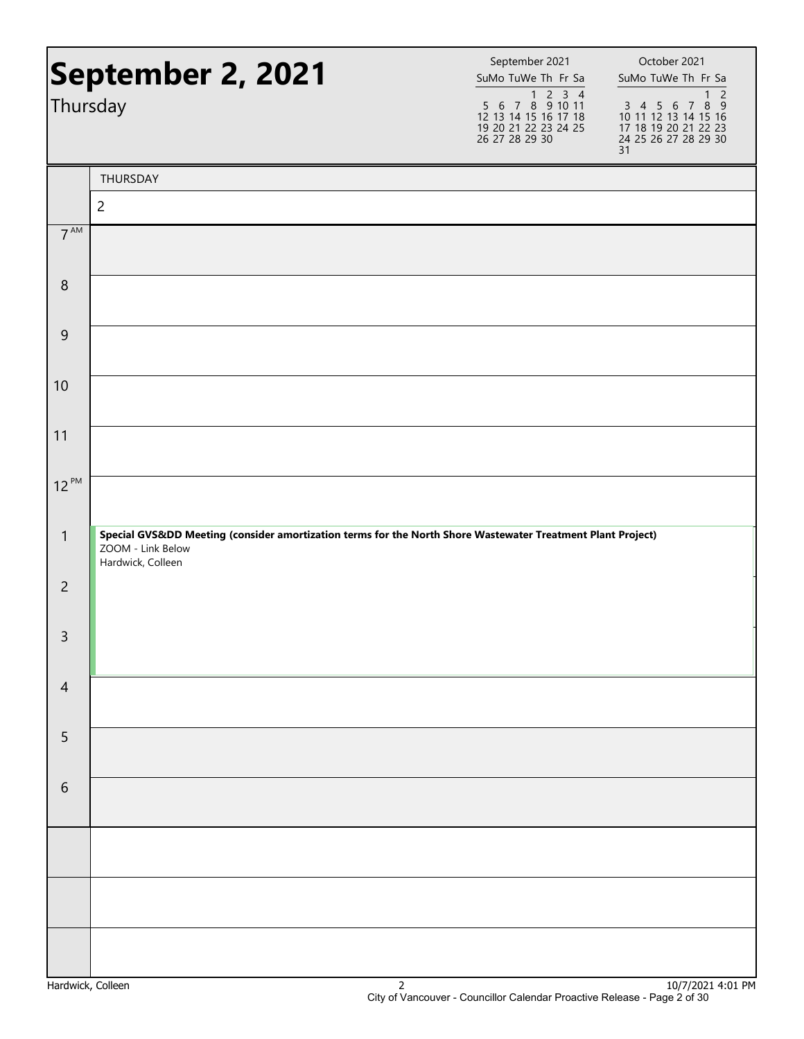| Thursday         | September 2, 2021                                                                                                                                   | September 2021<br>SuMo TuWe Th Fr Sa<br>$\begin{array}{@{}c@{\hspace{1em}}c@{\hspace{1em}}c@{\hspace{1em}}c@{\hspace{1em}}c@{\hspace{1em}}c@{\hspace{1em}}c@{\hspace{1em}}c@{\hspace{1em}}c@{\hspace{1em}}c@{\hspace{1em}}c@{\hspace{1em}}c@{\hspace{1em}}c@{\hspace{1em}}c@{\hspace{1em}}c@{\hspace{1em}}c@{\hspace{1em}}c@{\hspace{1em}}c@{\hspace{1em}}c@{\hspace{1em}}c@{\hspace{1em}}c@{\hspace{1em}}c@{\hspace{1em}}c@{\hspace{1em}}c@{\hspace{$<br>12 13 14 15 16 17 18<br>19 20 21 22 23 24 25<br>26 27 28 29 30 | October 2021<br>SuMo TuWe Th Fr Sa<br>$\overline{c}$<br>$\mathbf{1}$<br>3 4 5 6 7 8 9<br>10 11 12 13 14 15 16<br>17 18 19 20 21 22 23<br>24 25 26 27 28 29 30<br>31 |
|------------------|-----------------------------------------------------------------------------------------------------------------------------------------------------|--------------------------------------------------------------------------------------------------------------------------------------------------------------------------------------------------------------------------------------------------------------------------------------------------------------------------------------------------------------------------------------------------------------------------------------------------------------------------------------------------------------------------|---------------------------------------------------------------------------------------------------------------------------------------------------------------------|
|                  | THURSDAY                                                                                                                                            |                                                                                                                                                                                                                                                                                                                                                                                                                                                                                                                          |                                                                                                                                                                     |
|                  | $\overline{c}$                                                                                                                                      |                                                                                                                                                                                                                                                                                                                                                                                                                                                                                                                          |                                                                                                                                                                     |
| 7 <sup>AM</sup>  |                                                                                                                                                     |                                                                                                                                                                                                                                                                                                                                                                                                                                                                                                                          |                                                                                                                                                                     |
| $\boldsymbol{8}$ |                                                                                                                                                     |                                                                                                                                                                                                                                                                                                                                                                                                                                                                                                                          |                                                                                                                                                                     |
| 9                |                                                                                                                                                     |                                                                                                                                                                                                                                                                                                                                                                                                                                                                                                                          |                                                                                                                                                                     |
| 10               |                                                                                                                                                     |                                                                                                                                                                                                                                                                                                                                                                                                                                                                                                                          |                                                                                                                                                                     |
| 11               |                                                                                                                                                     |                                                                                                                                                                                                                                                                                                                                                                                                                                                                                                                          |                                                                                                                                                                     |
| $12^{PM}$        |                                                                                                                                                     |                                                                                                                                                                                                                                                                                                                                                                                                                                                                                                                          |                                                                                                                                                                     |
| $\mathbf{1}$     | Special GVSⅅ Meeting (consider amortization terms for the North Shore Wastewater Treatment Plant Project)<br>ZOOM - Link Below<br>Hardwick, Colleen |                                                                                                                                                                                                                                                                                                                                                                                                                                                                                                                          |                                                                                                                                                                     |
| $\overline{2}$   |                                                                                                                                                     |                                                                                                                                                                                                                                                                                                                                                                                                                                                                                                                          |                                                                                                                                                                     |
| 3                |                                                                                                                                                     |                                                                                                                                                                                                                                                                                                                                                                                                                                                                                                                          |                                                                                                                                                                     |
| $\overline{4}$   |                                                                                                                                                     |                                                                                                                                                                                                                                                                                                                                                                                                                                                                                                                          |                                                                                                                                                                     |
| 5                |                                                                                                                                                     |                                                                                                                                                                                                                                                                                                                                                                                                                                                                                                                          |                                                                                                                                                                     |
| $\sqrt{6}$       |                                                                                                                                                     |                                                                                                                                                                                                                                                                                                                                                                                                                                                                                                                          |                                                                                                                                                                     |
|                  |                                                                                                                                                     |                                                                                                                                                                                                                                                                                                                                                                                                                                                                                                                          |                                                                                                                                                                     |
|                  |                                                                                                                                                     |                                                                                                                                                                                                                                                                                                                                                                                                                                                                                                                          |                                                                                                                                                                     |
|                  |                                                                                                                                                     |                                                                                                                                                                                                                                                                                                                                                                                                                                                                                                                          |                                                                                                                                                                     |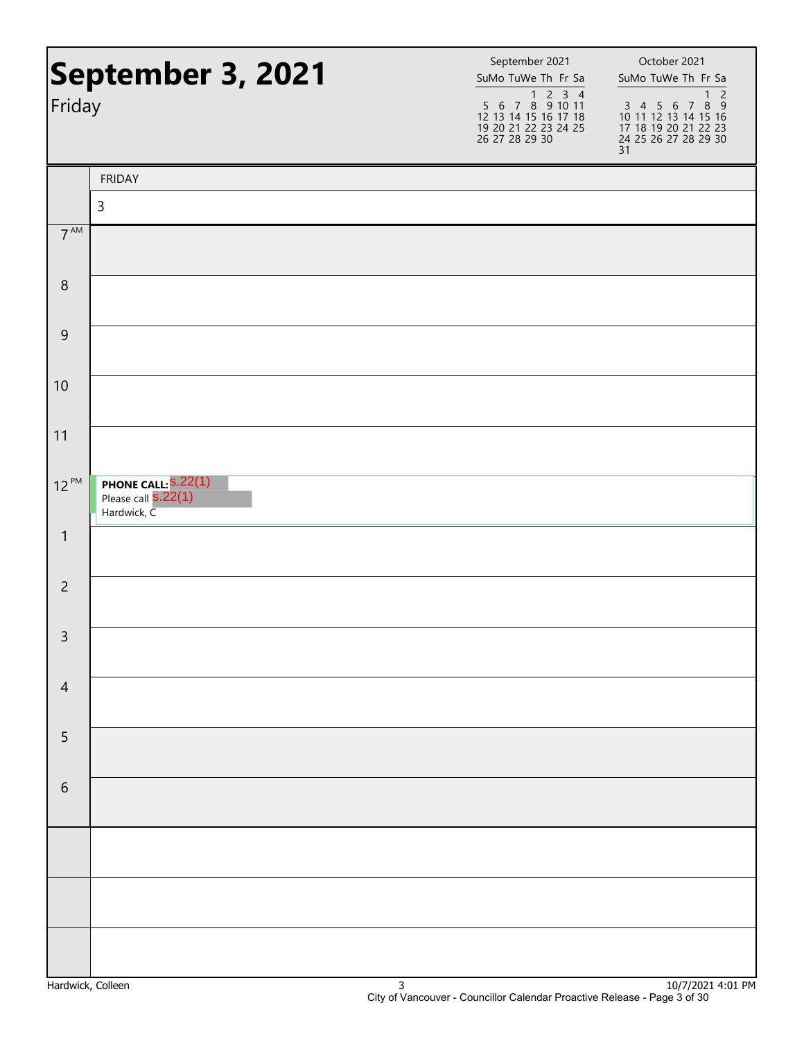|                 | September 3, 2021                                                | September 2021<br>SuMo TuWe Th Fr Sa                                                         | October 2021<br>SuMo TuWe Th Fr Sa                                                                                            |
|-----------------|------------------------------------------------------------------|----------------------------------------------------------------------------------------------|-------------------------------------------------------------------------------------------------------------------------------|
| Friday          |                                                                  | 1 2 3 4<br>5 6 7 8 9 10 11<br>12 13 14 15 16 17 18<br>19 20 21 22 23 24 25<br>26 27 28 29 30 | $\overline{c}$<br>$\mathbf{1}$<br>3 4 5 6 7 8 9<br>10 11 12 13 14 15 16<br>17 18 19 20 21 22 23<br>24 25 26 27 28 29 30<br>31 |
|                 | <b>FRIDAY</b>                                                    |                                                                                              |                                                                                                                               |
|                 | $\mathsf{3}$                                                     |                                                                                              |                                                                                                                               |
| 7 <sup>AM</sup> |                                                                  |                                                                                              |                                                                                                                               |
| $\,8\,$         |                                                                  |                                                                                              |                                                                                                                               |
| 9               |                                                                  |                                                                                              |                                                                                                                               |
| 10              |                                                                  |                                                                                              |                                                                                                                               |
| 11              |                                                                  |                                                                                              |                                                                                                                               |
| $12^{PM}$       | <b>PHONE CALL:</b> S.22(1)<br>Please call S.22(1)<br>Hardwick, C |                                                                                              |                                                                                                                               |
| $\mathbf{1}$    |                                                                  |                                                                                              |                                                                                                                               |
| $\overline{2}$  |                                                                  |                                                                                              |                                                                                                                               |
| $\mathsf{3}$    |                                                                  |                                                                                              |                                                                                                                               |
| $\overline{4}$  |                                                                  |                                                                                              |                                                                                                                               |
| 5               |                                                                  |                                                                                              |                                                                                                                               |
| $\sqrt{6}$      |                                                                  |                                                                                              |                                                                                                                               |
|                 |                                                                  |                                                                                              |                                                                                                                               |
|                 |                                                                  |                                                                                              |                                                                                                                               |
|                 |                                                                  |                                                                                              |                                                                                                                               |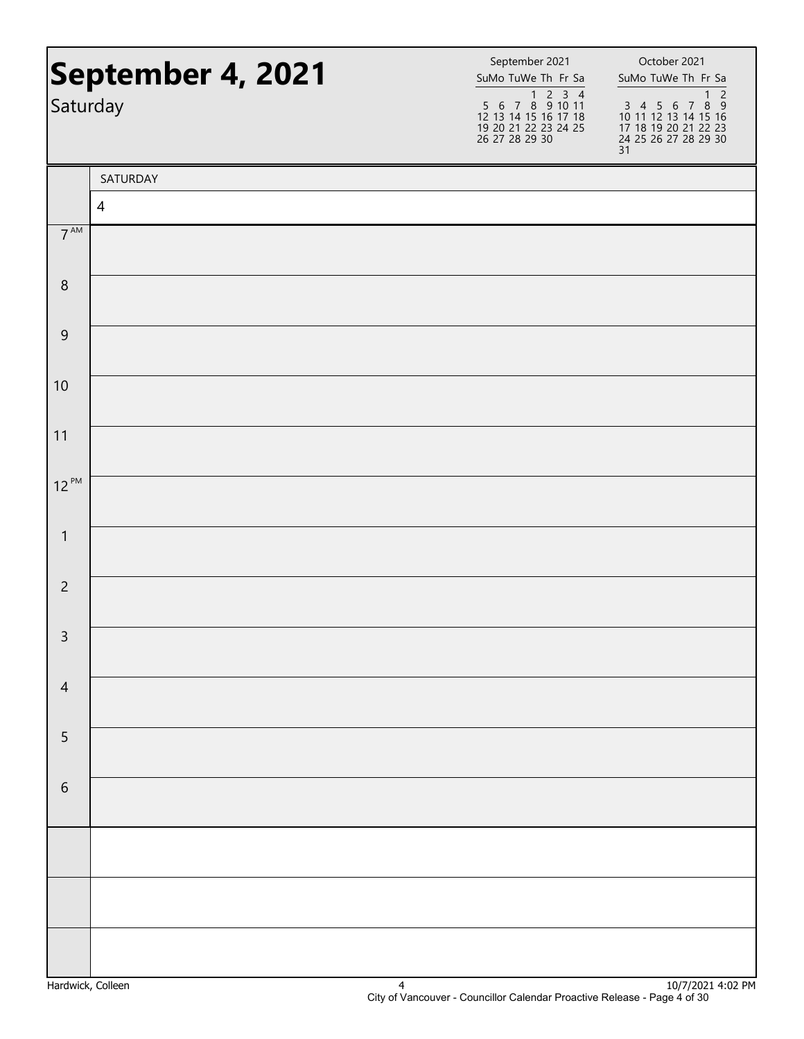| Saturday         | September 4, 2021 | September 2021<br>SuMo TuWe Th Fr Sa<br>$\begin{array}{@{}c@{\hspace{1em}}c@{\hspace{1em}}c@{\hspace{1em}}c@{\hspace{1em}}c@{\hspace{1em}}c@{\hspace{1em}}c@{\hspace{1em}}c@{\hspace{1em}}c@{\hspace{1em}}c@{\hspace{1em}}c@{\hspace{1em}}c@{\hspace{1em}}c@{\hspace{1em}}c@{\hspace{1em}}c@{\hspace{1em}}c@{\hspace{1em}}c@{\hspace{1em}}c@{\hspace{1em}}c@{\hspace{1em}}c@{\hspace{1em}}c@{\hspace{1em}}c@{\hspace{1em}}c@{\hspace{1em}}c@{\hspace{$<br>12 13 14 15 16 17 18<br>19 20 21 22 23 24 25<br>26 27 28 29 30 | October 2021<br>SuMo TuWe Th Fr Sa<br>$\overline{c}$<br>$\mathbf{1}$<br>3 4 5 6 7 8 9<br>10 11 12 13 14 15 16<br>17 18 19 20 21 22 23<br>24 25 26 27 28 29 30 |
|------------------|-------------------|--------------------------------------------------------------------------------------------------------------------------------------------------------------------------------------------------------------------------------------------------------------------------------------------------------------------------------------------------------------------------------------------------------------------------------------------------------------------------------------------------------------------------|---------------------------------------------------------------------------------------------------------------------------------------------------------------|
|                  |                   |                                                                                                                                                                                                                                                                                                                                                                                                                                                                                                                          | 31                                                                                                                                                            |
|                  | SATURDAY          |                                                                                                                                                                                                                                                                                                                                                                                                                                                                                                                          |                                                                                                                                                               |
|                  | $\overline{4}$    |                                                                                                                                                                                                                                                                                                                                                                                                                                                                                                                          |                                                                                                                                                               |
| $7^{\text{AM}}$  |                   |                                                                                                                                                                                                                                                                                                                                                                                                                                                                                                                          |                                                                                                                                                               |
| $\, 8$           |                   |                                                                                                                                                                                                                                                                                                                                                                                                                                                                                                                          |                                                                                                                                                               |
| $\boldsymbol{9}$ |                   |                                                                                                                                                                                                                                                                                                                                                                                                                                                                                                                          |                                                                                                                                                               |
| 10               |                   |                                                                                                                                                                                                                                                                                                                                                                                                                                                                                                                          |                                                                                                                                                               |
| 11               |                   |                                                                                                                                                                                                                                                                                                                                                                                                                                                                                                                          |                                                                                                                                                               |
| $12^{PM}$        |                   |                                                                                                                                                                                                                                                                                                                                                                                                                                                                                                                          |                                                                                                                                                               |
| $\mathbf{1}$     |                   |                                                                                                                                                                                                                                                                                                                                                                                                                                                                                                                          |                                                                                                                                                               |
| $\overline{c}$   |                   |                                                                                                                                                                                                                                                                                                                                                                                                                                                                                                                          |                                                                                                                                                               |
| $\mathsf{3}$     |                   |                                                                                                                                                                                                                                                                                                                                                                                                                                                                                                                          |                                                                                                                                                               |
| $\overline{4}$   |                   |                                                                                                                                                                                                                                                                                                                                                                                                                                                                                                                          |                                                                                                                                                               |
| 5                |                   |                                                                                                                                                                                                                                                                                                                                                                                                                                                                                                                          |                                                                                                                                                               |
| $\,$ 6 $\,$      |                   |                                                                                                                                                                                                                                                                                                                                                                                                                                                                                                                          |                                                                                                                                                               |
|                  |                   |                                                                                                                                                                                                                                                                                                                                                                                                                                                                                                                          |                                                                                                                                                               |
|                  |                   |                                                                                                                                                                                                                                                                                                                                                                                                                                                                                                                          |                                                                                                                                                               |
|                  |                   |                                                                                                                                                                                                                                                                                                                                                                                                                                                                                                                          |                                                                                                                                                               |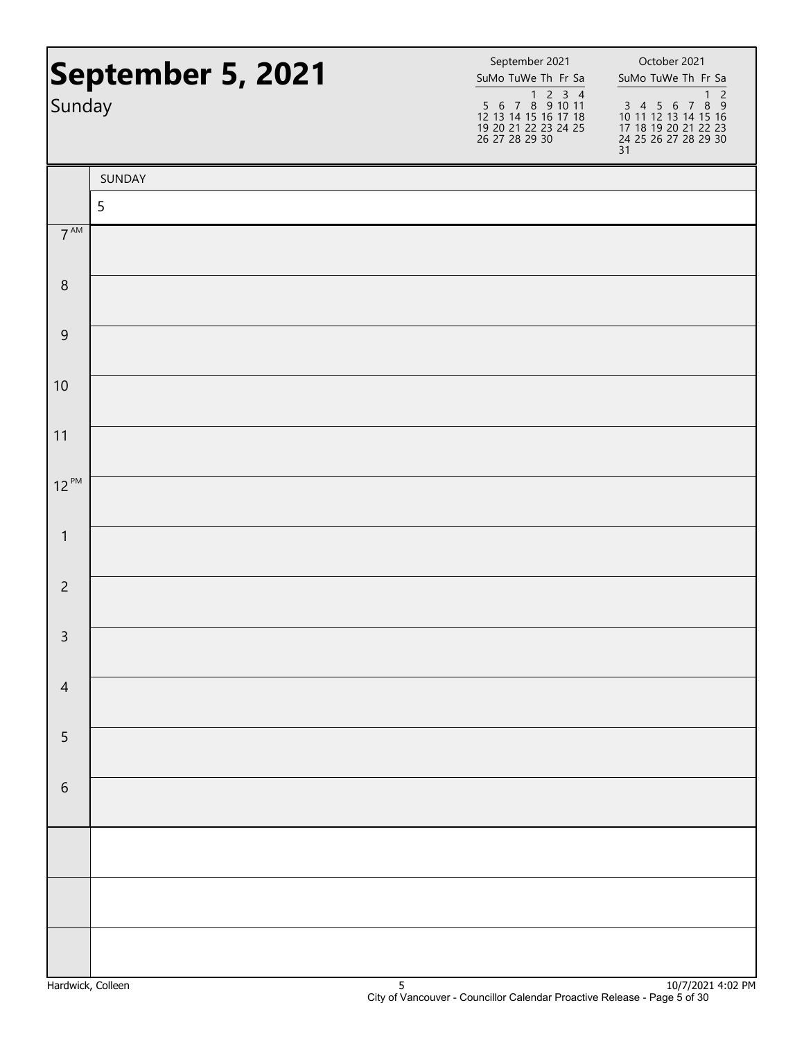|                  | September 5, 2021 | September 2021<br>SuMo TuWe Th Fr Sa                                                                                                                                                                                                                                                                                                                                                                                                                                             | October 2021<br>SuMo TuWe Th Fr Sa                                                                                            |
|------------------|-------------------|----------------------------------------------------------------------------------------------------------------------------------------------------------------------------------------------------------------------------------------------------------------------------------------------------------------------------------------------------------------------------------------------------------------------------------------------------------------------------------|-------------------------------------------------------------------------------------------------------------------------------|
| Sunday           |                   | $\begin{array}{@{}c@{\hspace{1em}}c@{\hspace{1em}}c@{\hspace{1em}}c@{\hspace{1em}}c@{\hspace{1em}}c@{\hspace{1em}}c@{\hspace{1em}}c@{\hspace{1em}}c@{\hspace{1em}}c@{\hspace{1em}}c@{\hspace{1em}}c@{\hspace{1em}}c@{\hspace{1em}}c@{\hspace{1em}}c@{\hspace{1em}}c@{\hspace{1em}}c@{\hspace{1em}}c@{\hspace{1em}}c@{\hspace{1em}}c@{\hspace{1em}}c@{\hspace{1em}}c@{\hspace{1em}}c@{\hspace{1em}}c@{\hspace{$<br>12 13 14 15 16 17 18<br>19 20 21 22 23 24 25<br>26 27 28 29 30 | $\overline{c}$<br>$\mathbf{1}$<br>3 4 5 6 7 8 9<br>10 11 12 13 14 15 16<br>17 18 19 20 21 22 23<br>24 25 26 27 28 29 30<br>31 |
|                  | SUNDAY            |                                                                                                                                                                                                                                                                                                                                                                                                                                                                                  |                                                                                                                               |
|                  | 5                 |                                                                                                                                                                                                                                                                                                                                                                                                                                                                                  |                                                                                                                               |
| $7^{\text{AM}}$  |                   |                                                                                                                                                                                                                                                                                                                                                                                                                                                                                  |                                                                                                                               |
| $\, 8$           |                   |                                                                                                                                                                                                                                                                                                                                                                                                                                                                                  |                                                                                                                               |
| $\boldsymbol{9}$ |                   |                                                                                                                                                                                                                                                                                                                                                                                                                                                                                  |                                                                                                                               |
| 10               |                   |                                                                                                                                                                                                                                                                                                                                                                                                                                                                                  |                                                                                                                               |
| 11               |                   |                                                                                                                                                                                                                                                                                                                                                                                                                                                                                  |                                                                                                                               |
| $12^{PM}$        |                   |                                                                                                                                                                                                                                                                                                                                                                                                                                                                                  |                                                                                                                               |
| $\mathbf{1}$     |                   |                                                                                                                                                                                                                                                                                                                                                                                                                                                                                  |                                                                                                                               |
| $\overline{c}$   |                   |                                                                                                                                                                                                                                                                                                                                                                                                                                                                                  |                                                                                                                               |
| $\mathsf{3}$     |                   |                                                                                                                                                                                                                                                                                                                                                                                                                                                                                  |                                                                                                                               |
| $\overline{4}$   |                   |                                                                                                                                                                                                                                                                                                                                                                                                                                                                                  |                                                                                                                               |
| 5                |                   |                                                                                                                                                                                                                                                                                                                                                                                                                                                                                  |                                                                                                                               |
| $\,$ 6 $\,$      |                   |                                                                                                                                                                                                                                                                                                                                                                                                                                                                                  |                                                                                                                               |
|                  |                   |                                                                                                                                                                                                                                                                                                                                                                                                                                                                                  |                                                                                                                               |
|                  |                   |                                                                                                                                                                                                                                                                                                                                                                                                                                                                                  |                                                                                                                               |
|                  |                   |                                                                                                                                                                                                                                                                                                                                                                                                                                                                                  |                                                                                                                               |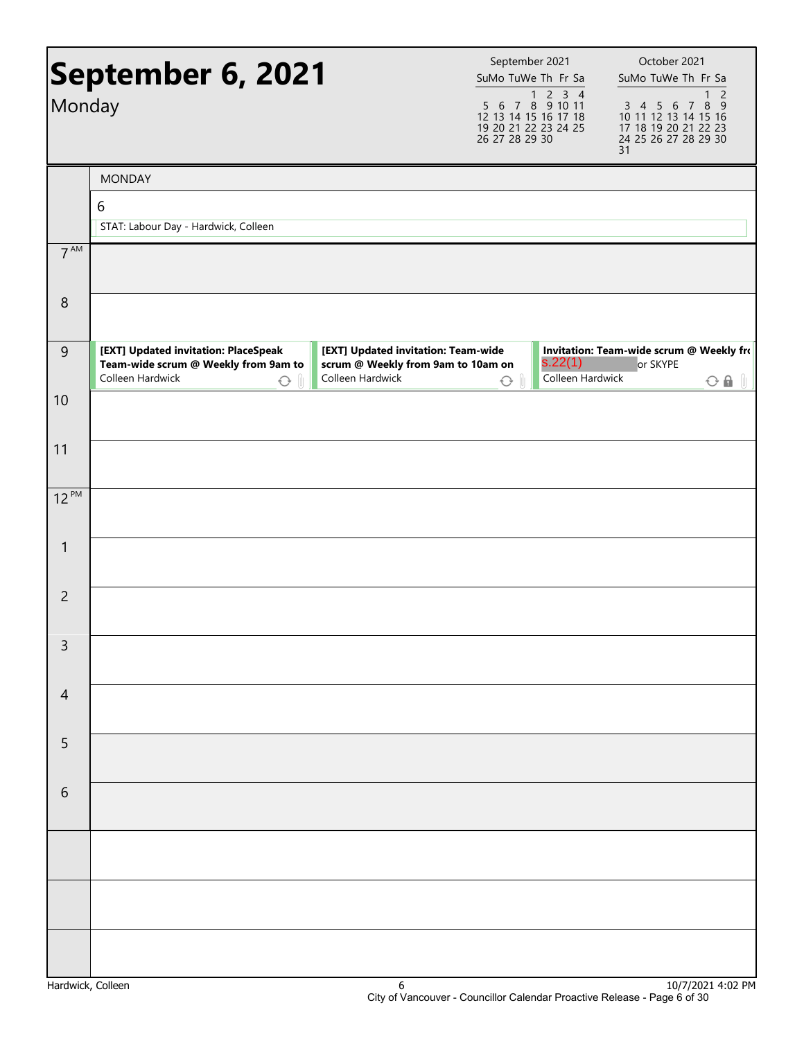|                 | September 6, 2021                                                                                              |                                                                                               | September 2021<br>SuMo TuWe Th Fr Sa                                                                                                                                                                                                                                                                                                                                                                                                                                             |                             | October 2021<br>SuMo TuWe Th Fr Sa                                                          |                                |
|-----------------|----------------------------------------------------------------------------------------------------------------|-----------------------------------------------------------------------------------------------|----------------------------------------------------------------------------------------------------------------------------------------------------------------------------------------------------------------------------------------------------------------------------------------------------------------------------------------------------------------------------------------------------------------------------------------------------------------------------------|-----------------------------|---------------------------------------------------------------------------------------------|--------------------------------|
| Monday          |                                                                                                                |                                                                                               | $\begin{array}{@{}c@{\hspace{1em}}c@{\hspace{1em}}c@{\hspace{1em}}c@{\hspace{1em}}c@{\hspace{1em}}c@{\hspace{1em}}c@{\hspace{1em}}c@{\hspace{1em}}c@{\hspace{1em}}c@{\hspace{1em}}c@{\hspace{1em}}c@{\hspace{1em}}c@{\hspace{1em}}c@{\hspace{1em}}c@{\hspace{1em}}c@{\hspace{1em}}c@{\hspace{1em}}c@{\hspace{1em}}c@{\hspace{1em}}c@{\hspace{1em}}c@{\hspace{1em}}c@{\hspace{1em}}c@{\hspace{1em}}c@{\hspace{$<br>12 13 14 15 16 17 18<br>19 20 21 22 23 24 25<br>26 27 28 29 30 |                             | 3 4 5 6 7 8 9<br>10 11 12 13 14 15 16<br>17 18 19 20 21 22 23<br>24 25 26 27 28 29 30<br>31 | $\overline{c}$<br>$\mathbf{1}$ |
|                 | <b>MONDAY</b>                                                                                                  |                                                                                               |                                                                                                                                                                                                                                                                                                                                                                                                                                                                                  |                             |                                                                                             |                                |
|                 | 6                                                                                                              |                                                                                               |                                                                                                                                                                                                                                                                                                                                                                                                                                                                                  |                             |                                                                                             |                                |
|                 | STAT: Labour Day - Hardwick, Colleen                                                                           |                                                                                               |                                                                                                                                                                                                                                                                                                                                                                                                                                                                                  |                             |                                                                                             |                                |
| 7 <sup>AM</sup> |                                                                                                                |                                                                                               |                                                                                                                                                                                                                                                                                                                                                                                                                                                                                  |                             |                                                                                             |                                |
| $\,8\,$         |                                                                                                                |                                                                                               |                                                                                                                                                                                                                                                                                                                                                                                                                                                                                  |                             |                                                                                             |                                |
| $\overline{9}$  | [EXT] Updated invitation: PlaceSpeak<br>Team-wide scrum @ Weekly from 9am to<br>Colleen Hardwick<br>$\bigcirc$ | [EXT] Updated invitation: Team-wide<br>scrum @ Weekly from 9am to 10am on<br>Colleen Hardwick | $\bigcirc$                                                                                                                                                                                                                                                                                                                                                                                                                                                                       | s.22(1)<br>Colleen Hardwick | Invitation: Team-wide scrum @ Weekly fro<br>or SKYPE                                        | $O$ $\theta$ $\theta$          |
| 10              |                                                                                                                |                                                                                               |                                                                                                                                                                                                                                                                                                                                                                                                                                                                                  |                             |                                                                                             |                                |
| 11              |                                                                                                                |                                                                                               |                                                                                                                                                                                                                                                                                                                                                                                                                                                                                  |                             |                                                                                             |                                |
| $12^{PM}$       |                                                                                                                |                                                                                               |                                                                                                                                                                                                                                                                                                                                                                                                                                                                                  |                             |                                                                                             |                                |
| $\mathbf{1}$    |                                                                                                                |                                                                                               |                                                                                                                                                                                                                                                                                                                                                                                                                                                                                  |                             |                                                                                             |                                |
| $\overline{2}$  |                                                                                                                |                                                                                               |                                                                                                                                                                                                                                                                                                                                                                                                                                                                                  |                             |                                                                                             |                                |
| 3               |                                                                                                                |                                                                                               |                                                                                                                                                                                                                                                                                                                                                                                                                                                                                  |                             |                                                                                             |                                |
| $\overline{4}$  |                                                                                                                |                                                                                               |                                                                                                                                                                                                                                                                                                                                                                                                                                                                                  |                             |                                                                                             |                                |
| 5               |                                                                                                                |                                                                                               |                                                                                                                                                                                                                                                                                                                                                                                                                                                                                  |                             |                                                                                             |                                |
| 6               |                                                                                                                |                                                                                               |                                                                                                                                                                                                                                                                                                                                                                                                                                                                                  |                             |                                                                                             |                                |
|                 |                                                                                                                |                                                                                               |                                                                                                                                                                                                                                                                                                                                                                                                                                                                                  |                             |                                                                                             |                                |
|                 |                                                                                                                |                                                                                               |                                                                                                                                                                                                                                                                                                                                                                                                                                                                                  |                             |                                                                                             |                                |
|                 |                                                                                                                |                                                                                               |                                                                                                                                                                                                                                                                                                                                                                                                                                                                                  |                             |                                                                                             |                                |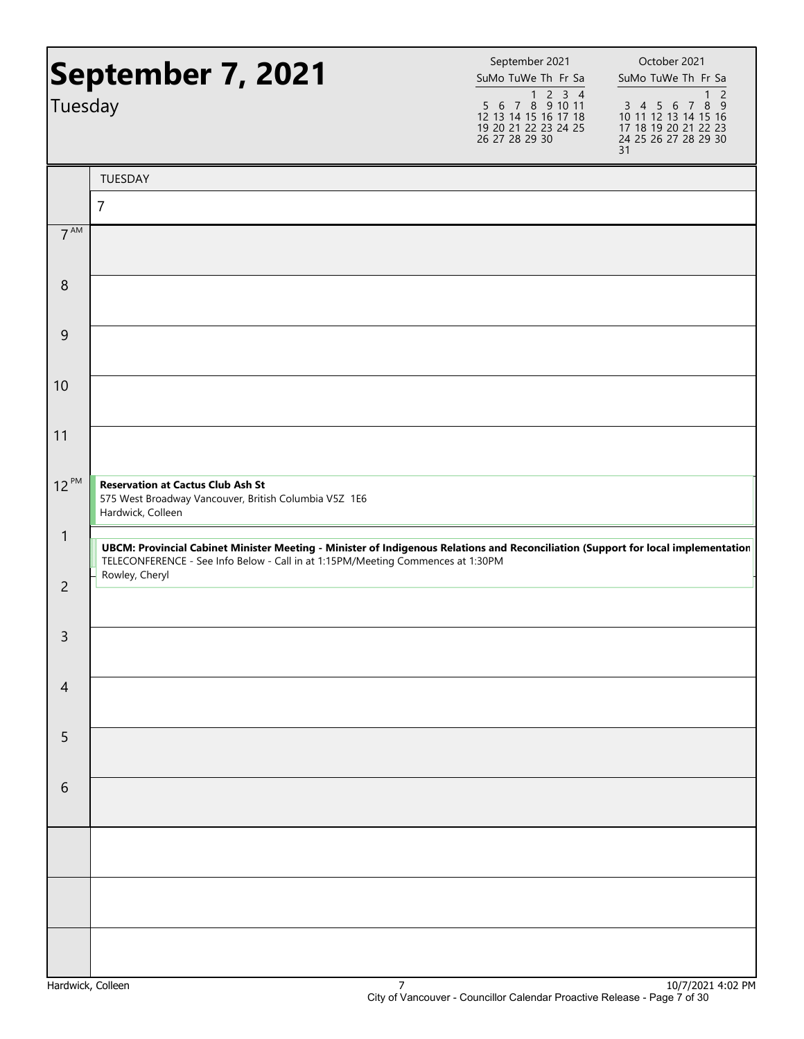|                 | September 7, 2021                                                                                                                                                                                                                      | September 2021<br>SuMo TuWe Th Fr Sa                                                                                                                                                                                                                                                                                                                                                                                                                                             | October 2021<br>SuMo TuWe Th Fr Sa                                                                                 |
|-----------------|----------------------------------------------------------------------------------------------------------------------------------------------------------------------------------------------------------------------------------------|----------------------------------------------------------------------------------------------------------------------------------------------------------------------------------------------------------------------------------------------------------------------------------------------------------------------------------------------------------------------------------------------------------------------------------------------------------------------------------|--------------------------------------------------------------------------------------------------------------------|
| Tuesday         |                                                                                                                                                                                                                                        | $\begin{array}{@{}c@{\hspace{1em}}c@{\hspace{1em}}c@{\hspace{1em}}c@{\hspace{1em}}c@{\hspace{1em}}c@{\hspace{1em}}c@{\hspace{1em}}c@{\hspace{1em}}c@{\hspace{1em}}c@{\hspace{1em}}c@{\hspace{1em}}c@{\hspace{1em}}c@{\hspace{1em}}c@{\hspace{1em}}c@{\hspace{1em}}c@{\hspace{1em}}c@{\hspace{1em}}c@{\hspace{1em}}c@{\hspace{1em}}c@{\hspace{1em}}c@{\hspace{1em}}c@{\hspace{1em}}c@{\hspace{1em}}c@{\hspace{$<br>12 13 14 15 16 17 18<br>19 20 21 22 23 24 25<br>26 27 28 29 30 | $\overline{2}$<br>1<br>3 4 5 6 7 8 9<br>10 11 12 13 14 15 16<br>17 18 19 20 21 22 23<br>24 25 26 27 28 29 30<br>31 |
|                 | TUESDAY                                                                                                                                                                                                                                |                                                                                                                                                                                                                                                                                                                                                                                                                                                                                  |                                                                                                                    |
|                 | $\overline{7}$                                                                                                                                                                                                                         |                                                                                                                                                                                                                                                                                                                                                                                                                                                                                  |                                                                                                                    |
| 7 <sup>AM</sup> |                                                                                                                                                                                                                                        |                                                                                                                                                                                                                                                                                                                                                                                                                                                                                  |                                                                                                                    |
| 8               |                                                                                                                                                                                                                                        |                                                                                                                                                                                                                                                                                                                                                                                                                                                                                  |                                                                                                                    |
| 9               |                                                                                                                                                                                                                                        |                                                                                                                                                                                                                                                                                                                                                                                                                                                                                  |                                                                                                                    |
| 10              |                                                                                                                                                                                                                                        |                                                                                                                                                                                                                                                                                                                                                                                                                                                                                  |                                                                                                                    |
| 11              |                                                                                                                                                                                                                                        |                                                                                                                                                                                                                                                                                                                                                                                                                                                                                  |                                                                                                                    |
| $12^{PM}$       | <b>Reservation at Cactus Club Ash St</b><br>575 West Broadway Vancouver, British Columbia V5Z 1E6<br>Hardwick, Colleen                                                                                                                 |                                                                                                                                                                                                                                                                                                                                                                                                                                                                                  |                                                                                                                    |
| $\mathbf{1}$    | UBCM: Provincial Cabinet Minister Meeting - Minister of Indigenous Relations and Reconciliation (Support for local implementation<br>TELECONFERENCE - See Info Below - Call in at 1:15PM/Meeting Commences at 1:30PM<br>Rowley, Cheryl |                                                                                                                                                                                                                                                                                                                                                                                                                                                                                  |                                                                                                                    |
| $\overline{2}$  |                                                                                                                                                                                                                                        |                                                                                                                                                                                                                                                                                                                                                                                                                                                                                  |                                                                                                                    |
| 3               |                                                                                                                                                                                                                                        |                                                                                                                                                                                                                                                                                                                                                                                                                                                                                  |                                                                                                                    |
| $\overline{4}$  |                                                                                                                                                                                                                                        |                                                                                                                                                                                                                                                                                                                                                                                                                                                                                  |                                                                                                                    |
| 5               |                                                                                                                                                                                                                                        |                                                                                                                                                                                                                                                                                                                                                                                                                                                                                  |                                                                                                                    |
| 6               |                                                                                                                                                                                                                                        |                                                                                                                                                                                                                                                                                                                                                                                                                                                                                  |                                                                                                                    |
|                 |                                                                                                                                                                                                                                        |                                                                                                                                                                                                                                                                                                                                                                                                                                                                                  |                                                                                                                    |
|                 |                                                                                                                                                                                                                                        |                                                                                                                                                                                                                                                                                                                                                                                                                                                                                  |                                                                                                                    |
|                 |                                                                                                                                                                                                                                        |                                                                                                                                                                                                                                                                                                                                                                                                                                                                                  | 10171001                                                                                                           |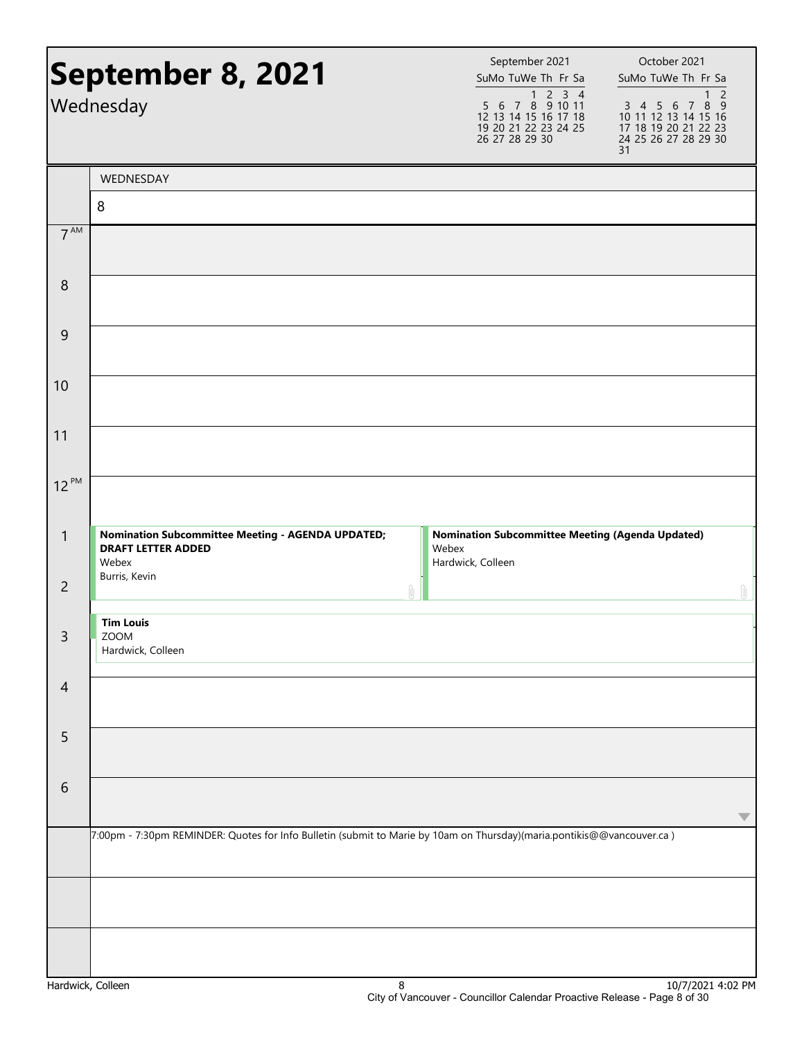|                   | September 8, 2021<br>Wednesday                                                                                         | September 2021<br>SuMo TuWe Th Fr Sa<br>$\begin{array}{@{}c@{\hspace{1em}}c@{\hspace{1em}}c@{\hspace{1em}}c@{\hspace{1em}}c@{\hspace{1em}}c@{\hspace{1em}}c@{\hspace{1em}}c@{\hspace{1em}}c@{\hspace{1em}}c@{\hspace{1em}}c@{\hspace{1em}}c@{\hspace{1em}}c@{\hspace{1em}}c@{\hspace{1em}}c@{\hspace{1em}}c@{\hspace{1em}}c@{\hspace{1em}}c@{\hspace{1em}}c@{\hspace{1em}}c@{\hspace{1em}}c@{\hspace{1em}}c@{\hspace{1em}}c@{\hspace{1em}}c@{\hspace{$<br>12 13 14 15 16 17 18<br>19 20 21 22 23 24 25<br>26 27 28 29 30 | October 2021<br>SuMo TuWe Th Fr Sa<br>$\overline{2}$<br>1<br>3 4 5 6 7 8 9<br>10 11 12 13 14 15 16<br>17 18 19 20 21 22 23<br>24 25 26 27 28 29 30<br>31 |
|-------------------|------------------------------------------------------------------------------------------------------------------------|--------------------------------------------------------------------------------------------------------------------------------------------------------------------------------------------------------------------------------------------------------------------------------------------------------------------------------------------------------------------------------------------------------------------------------------------------------------------------------------------------------------------------|----------------------------------------------------------------------------------------------------------------------------------------------------------|
|                   | WEDNESDAY                                                                                                              |                                                                                                                                                                                                                                                                                                                                                                                                                                                                                                                          |                                                                                                                                                          |
|                   | 8                                                                                                                      |                                                                                                                                                                                                                                                                                                                                                                                                                                                                                                                          |                                                                                                                                                          |
| 7 <sup>AM</sup>   |                                                                                                                        |                                                                                                                                                                                                                                                                                                                                                                                                                                                                                                                          |                                                                                                                                                          |
| 8                 |                                                                                                                        |                                                                                                                                                                                                                                                                                                                                                                                                                                                                                                                          |                                                                                                                                                          |
| 9                 |                                                                                                                        |                                                                                                                                                                                                                                                                                                                                                                                                                                                                                                                          |                                                                                                                                                          |
| 10                |                                                                                                                        |                                                                                                                                                                                                                                                                                                                                                                                                                                                                                                                          |                                                                                                                                                          |
| 11                |                                                                                                                        |                                                                                                                                                                                                                                                                                                                                                                                                                                                                                                                          |                                                                                                                                                          |
| $12^{PM}$         |                                                                                                                        |                                                                                                                                                                                                                                                                                                                                                                                                                                                                                                                          |                                                                                                                                                          |
| $\mathbf{1}$      | <b>Nomination Subcommittee Meeting - AGENDA UPDATED;</b><br><b>DRAFT LETTER ADDED</b><br>Webex                         | <b>Nomination Subcommittee Meeting (Agenda Updated)</b><br>Webex<br>Hardwick, Colleen                                                                                                                                                                                                                                                                                                                                                                                                                                    |                                                                                                                                                          |
| $\overline{2}$    | Burris, Kevin                                                                                                          |                                                                                                                                                                                                                                                                                                                                                                                                                                                                                                                          |                                                                                                                                                          |
| $\mathsf{3}$      | <b>Tim Louis</b><br>ZOOM<br>Hardwick, Colleen                                                                          |                                                                                                                                                                                                                                                                                                                                                                                                                                                                                                                          |                                                                                                                                                          |
| $\overline{4}$    |                                                                                                                        |                                                                                                                                                                                                                                                                                                                                                                                                                                                                                                                          |                                                                                                                                                          |
| 5                 |                                                                                                                        |                                                                                                                                                                                                                                                                                                                                                                                                                                                                                                                          |                                                                                                                                                          |
| 6                 |                                                                                                                        |                                                                                                                                                                                                                                                                                                                                                                                                                                                                                                                          | $\blacktriangledown$                                                                                                                                     |
|                   | 7:00pm - 7:30pm REMINDER: Quotes for Info Bulletin (submit to Marie by 10am on Thursday)(maria.pontikis@@vancouver.ca) |                                                                                                                                                                                                                                                                                                                                                                                                                                                                                                                          |                                                                                                                                                          |
|                   |                                                                                                                        |                                                                                                                                                                                                                                                                                                                                                                                                                                                                                                                          |                                                                                                                                                          |
|                   |                                                                                                                        |                                                                                                                                                                                                                                                                                                                                                                                                                                                                                                                          |                                                                                                                                                          |
| Hardwick, Colleen | 8                                                                                                                      |                                                                                                                                                                                                                                                                                                                                                                                                                                                                                                                          | 10/7/2021 4:02 PM                                                                                                                                        |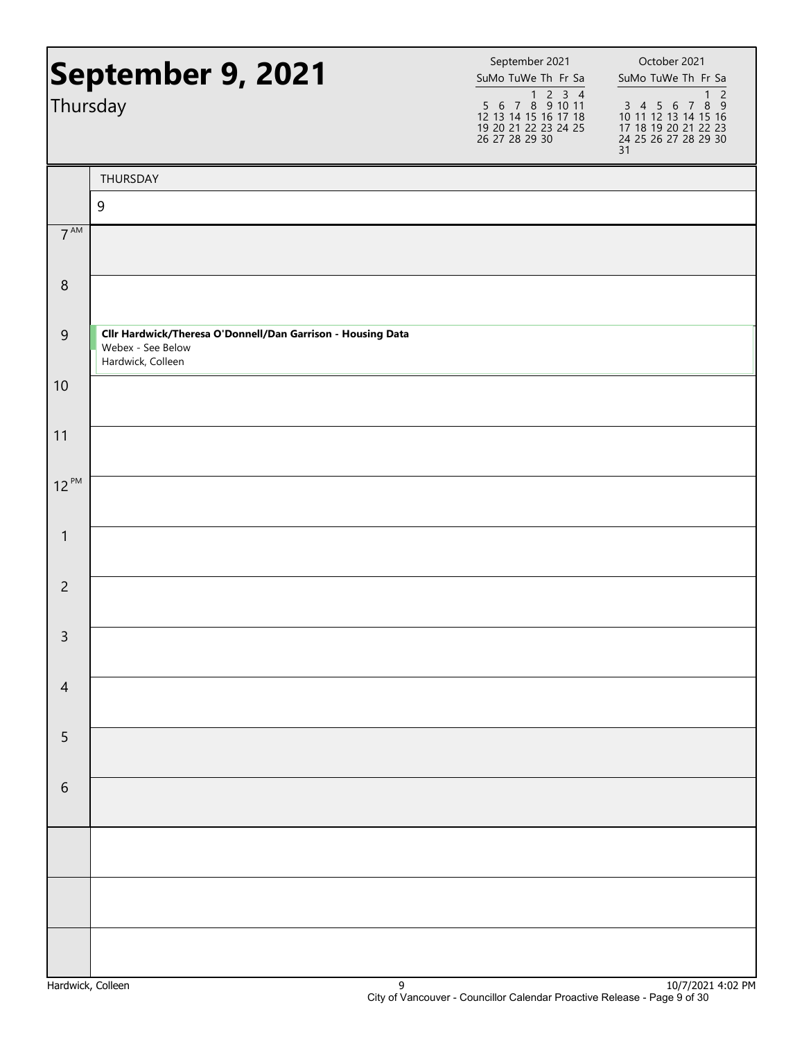| September 9, 2021 |                                                                                                       | September 2021<br>SuMo TuWe Th Fr Sa                                                                                                                                                                                                                                                                                                                                                                                                                                             | October 2021<br>SuMo TuWe Th Fr Sa                                                                                            |
|-------------------|-------------------------------------------------------------------------------------------------------|----------------------------------------------------------------------------------------------------------------------------------------------------------------------------------------------------------------------------------------------------------------------------------------------------------------------------------------------------------------------------------------------------------------------------------------------------------------------------------|-------------------------------------------------------------------------------------------------------------------------------|
| Thursday          |                                                                                                       | $\begin{array}{@{}c@{\hspace{1em}}c@{\hspace{1em}}c@{\hspace{1em}}c@{\hspace{1em}}c@{\hspace{1em}}c@{\hspace{1em}}c@{\hspace{1em}}c@{\hspace{1em}}c@{\hspace{1em}}c@{\hspace{1em}}c@{\hspace{1em}}c@{\hspace{1em}}c@{\hspace{1em}}c@{\hspace{1em}}c@{\hspace{1em}}c@{\hspace{1em}}c@{\hspace{1em}}c@{\hspace{1em}}c@{\hspace{1em}}c@{\hspace{1em}}c@{\hspace{1em}}c@{\hspace{1em}}c@{\hspace{1em}}c@{\hspace{$<br>12 13 14 15 16 17 18<br>19 20 21 22 23 24 25<br>26 27 28 29 30 | $\overline{c}$<br>$\mathbf{1}$<br>3 4 5 6 7 8 9<br>10 11 12 13 14 15 16<br>17 18 19 20 21 22 23<br>24 25 26 27 28 29 30<br>31 |
|                   | THURSDAY                                                                                              |                                                                                                                                                                                                                                                                                                                                                                                                                                                                                  |                                                                                                                               |
|                   | 9                                                                                                     |                                                                                                                                                                                                                                                                                                                                                                                                                                                                                  |                                                                                                                               |
| 7 <sup>AM</sup>   |                                                                                                       |                                                                                                                                                                                                                                                                                                                                                                                                                                                                                  |                                                                                                                               |
| $\,8\,$           |                                                                                                       |                                                                                                                                                                                                                                                                                                                                                                                                                                                                                  |                                                                                                                               |
| $\overline{9}$    | Cllr Hardwick/Theresa O'Donnell/Dan Garrison - Housing Data<br>Webex - See Below<br>Hardwick, Colleen |                                                                                                                                                                                                                                                                                                                                                                                                                                                                                  |                                                                                                                               |
| 10                |                                                                                                       |                                                                                                                                                                                                                                                                                                                                                                                                                                                                                  |                                                                                                                               |
| 11                |                                                                                                       |                                                                                                                                                                                                                                                                                                                                                                                                                                                                                  |                                                                                                                               |
| $12^{PM}$         |                                                                                                       |                                                                                                                                                                                                                                                                                                                                                                                                                                                                                  |                                                                                                                               |
| $\mathbf{1}$      |                                                                                                       |                                                                                                                                                                                                                                                                                                                                                                                                                                                                                  |                                                                                                                               |
| $\overline{c}$    |                                                                                                       |                                                                                                                                                                                                                                                                                                                                                                                                                                                                                  |                                                                                                                               |
| 3                 |                                                                                                       |                                                                                                                                                                                                                                                                                                                                                                                                                                                                                  |                                                                                                                               |
| $\overline{4}$    |                                                                                                       |                                                                                                                                                                                                                                                                                                                                                                                                                                                                                  |                                                                                                                               |
| 5                 |                                                                                                       |                                                                                                                                                                                                                                                                                                                                                                                                                                                                                  |                                                                                                                               |
| $\sqrt{6}$        |                                                                                                       |                                                                                                                                                                                                                                                                                                                                                                                                                                                                                  |                                                                                                                               |
|                   |                                                                                                       |                                                                                                                                                                                                                                                                                                                                                                                                                                                                                  |                                                                                                                               |
|                   |                                                                                                       |                                                                                                                                                                                                                                                                                                                                                                                                                                                                                  |                                                                                                                               |
|                   |                                                                                                       |                                                                                                                                                                                                                                                                                                                                                                                                                                                                                  |                                                                                                                               |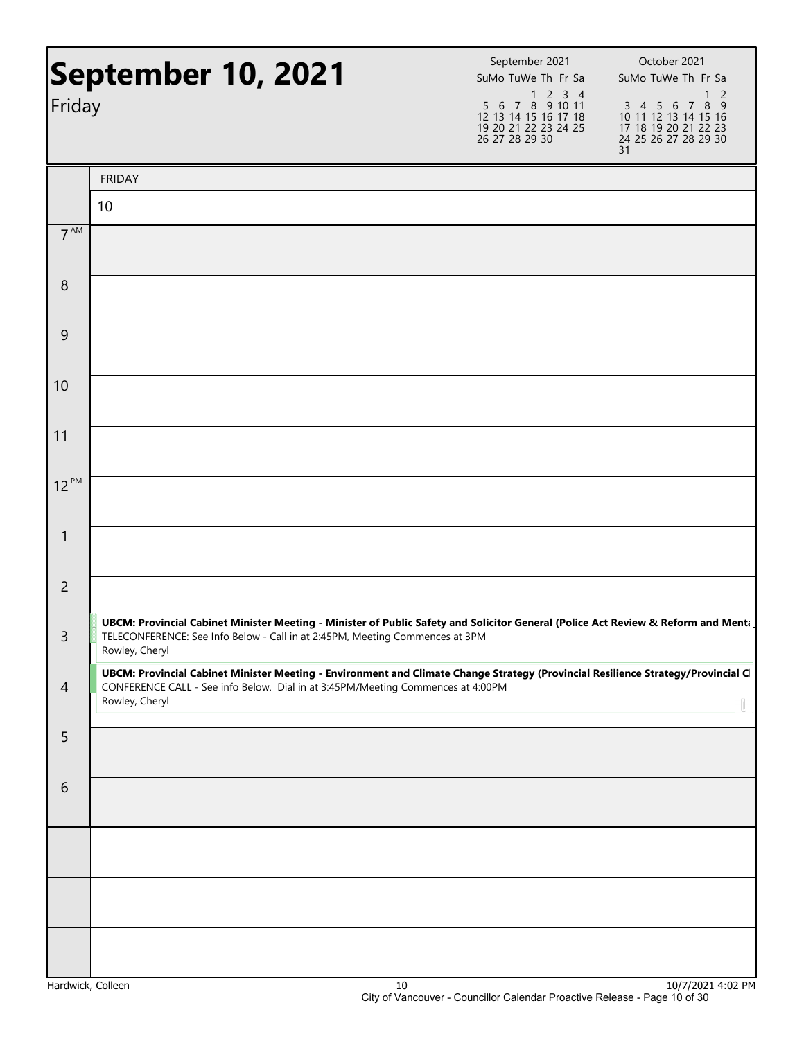| September 10, 2021<br>Friday |                                                                                                                                                                                                                                       | September 2021<br>SuMo TuWe Th Fr Sa<br>1 2 3 4<br>5 6 7 8 9 10 11<br>12 13 14 15 16 17 18<br>19 20 21 22 23 24 25<br>26 27 28 29 30 | October 2021<br>SuMo TuWe Th Fr Sa<br>$\overline{2}$<br>$\mathbf{1}$<br>3 4 5 6 7 8 9<br>10 11 12 13 14 15 16<br>17 18 19 20 21 22 23<br>24 25 26 27 28 29 30<br>31 |
|------------------------------|---------------------------------------------------------------------------------------------------------------------------------------------------------------------------------------------------------------------------------------|--------------------------------------------------------------------------------------------------------------------------------------|---------------------------------------------------------------------------------------------------------------------------------------------------------------------|
|                              | <b>FRIDAY</b>                                                                                                                                                                                                                         |                                                                                                                                      |                                                                                                                                                                     |
|                              | 10                                                                                                                                                                                                                                    |                                                                                                                                      |                                                                                                                                                                     |
| $7^{\text{AM}}$              |                                                                                                                                                                                                                                       |                                                                                                                                      |                                                                                                                                                                     |
| 8                            |                                                                                                                                                                                                                                       |                                                                                                                                      |                                                                                                                                                                     |
| 9                            |                                                                                                                                                                                                                                       |                                                                                                                                      |                                                                                                                                                                     |
| 10                           |                                                                                                                                                                                                                                       |                                                                                                                                      |                                                                                                                                                                     |
| 11                           |                                                                                                                                                                                                                                       |                                                                                                                                      |                                                                                                                                                                     |
| $12^{PM}$                    |                                                                                                                                                                                                                                       |                                                                                                                                      |                                                                                                                                                                     |
| $\mathbf{1}$                 |                                                                                                                                                                                                                                       |                                                                                                                                      |                                                                                                                                                                     |
| $\overline{2}$               |                                                                                                                                                                                                                                       |                                                                                                                                      |                                                                                                                                                                     |
| 3                            | UBCM: Provincial Cabinet Minister Meeting - Minister of Public Safety and Solicitor General (Police Act Review & Reform and Menta<br>TELECONFERENCE: See Info Below - Call in at 2:45PM, Meeting Commences at 3PM<br>Rowley, Cheryl   |                                                                                                                                      |                                                                                                                                                                     |
| $\overline{4}$               | UBCM: Provincial Cabinet Minister Meeting - Environment and Climate Change Strategy (Provincial Resilience Strategy/Provincial C<br>CONFERENCE CALL - See info Below. Dial in at 3:45PM/Meeting Commences at 4:00PM<br>Rowley, Cheryl |                                                                                                                                      |                                                                                                                                                                     |
| 5                            |                                                                                                                                                                                                                                       |                                                                                                                                      |                                                                                                                                                                     |
| 6                            |                                                                                                                                                                                                                                       |                                                                                                                                      |                                                                                                                                                                     |
|                              |                                                                                                                                                                                                                                       |                                                                                                                                      |                                                                                                                                                                     |
|                              |                                                                                                                                                                                                                                       |                                                                                                                                      |                                                                                                                                                                     |
|                              |                                                                                                                                                                                                                                       |                                                                                                                                      |                                                                                                                                                                     |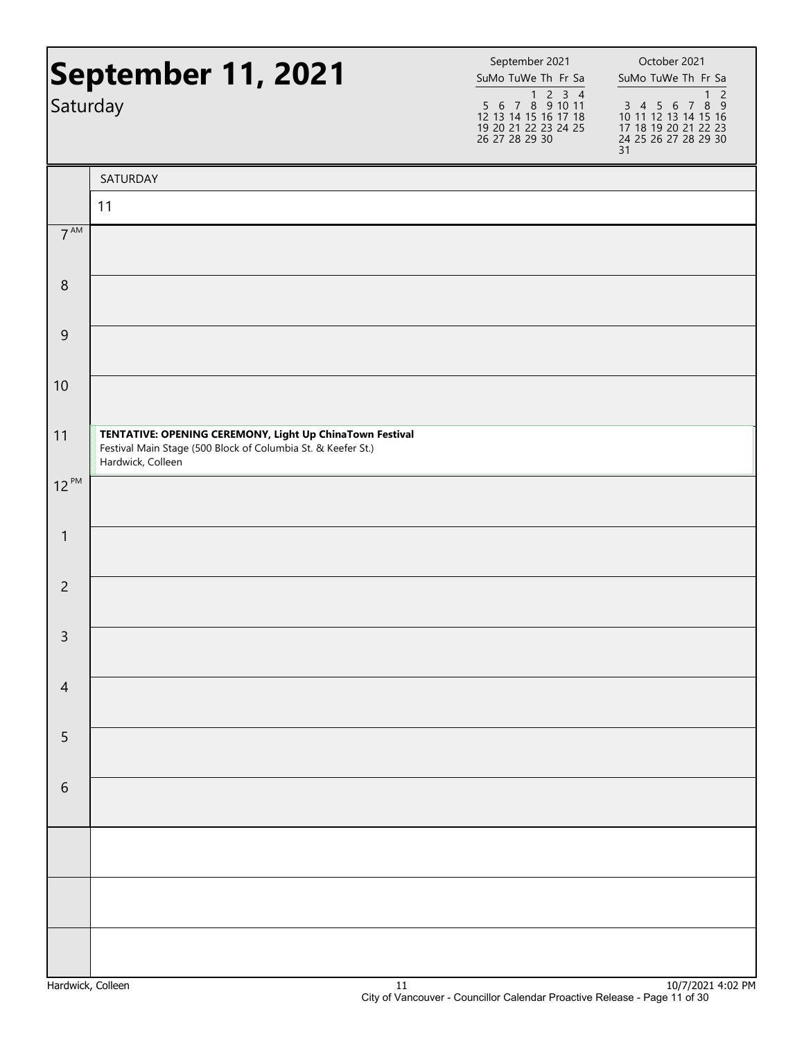| September 11, 2021<br>Saturday |                                                                                                                                               | September 2021<br>SuMo TuWe Th Fr Sa<br>5 6 7 8 9 10 11<br>12 13 14 15 16 17 18<br>19 20 21 22 23 24 25<br>26 27 28 29 30 | October 2021<br>SuMo TuWe Th Fr Sa<br>$\overline{2}$<br>$\mathbf{1}$<br>3 4 5 6 7 8 9<br>10 11 12 13 14 15 16<br>17 18 19 20 21 22 23<br>24 25 26 27 28 29 30<br>31 |  |
|--------------------------------|-----------------------------------------------------------------------------------------------------------------------------------------------|---------------------------------------------------------------------------------------------------------------------------|---------------------------------------------------------------------------------------------------------------------------------------------------------------------|--|
|                                | SATURDAY                                                                                                                                      |                                                                                                                           |                                                                                                                                                                     |  |
|                                | 11                                                                                                                                            |                                                                                                                           |                                                                                                                                                                     |  |
| 7 <sup>AM</sup>                |                                                                                                                                               |                                                                                                                           |                                                                                                                                                                     |  |
| $\,8\,$                        |                                                                                                                                               |                                                                                                                           |                                                                                                                                                                     |  |
| 9                              |                                                                                                                                               |                                                                                                                           |                                                                                                                                                                     |  |
| 10                             |                                                                                                                                               |                                                                                                                           |                                                                                                                                                                     |  |
| 11                             | TENTATIVE: OPENING CEREMONY, Light Up ChinaTown Festival<br>Festival Main Stage (500 Block of Columbia St. & Keefer St.)<br>Hardwick, Colleen |                                                                                                                           |                                                                                                                                                                     |  |
| $12^{PM}$                      |                                                                                                                                               |                                                                                                                           |                                                                                                                                                                     |  |
| $\mathbf{1}$                   |                                                                                                                                               |                                                                                                                           |                                                                                                                                                                     |  |
| $\overline{2}$                 |                                                                                                                                               |                                                                                                                           |                                                                                                                                                                     |  |
| $\mathsf{R}$                   |                                                                                                                                               |                                                                                                                           |                                                                                                                                                                     |  |
| $\overline{4}$                 |                                                                                                                                               |                                                                                                                           |                                                                                                                                                                     |  |
| 5                              |                                                                                                                                               |                                                                                                                           |                                                                                                                                                                     |  |
| $\sqrt{6}$                     |                                                                                                                                               |                                                                                                                           |                                                                                                                                                                     |  |
|                                |                                                                                                                                               |                                                                                                                           |                                                                                                                                                                     |  |
|                                |                                                                                                                                               |                                                                                                                           |                                                                                                                                                                     |  |
|                                |                                                                                                                                               |                                                                                                                           |                                                                                                                                                                     |  |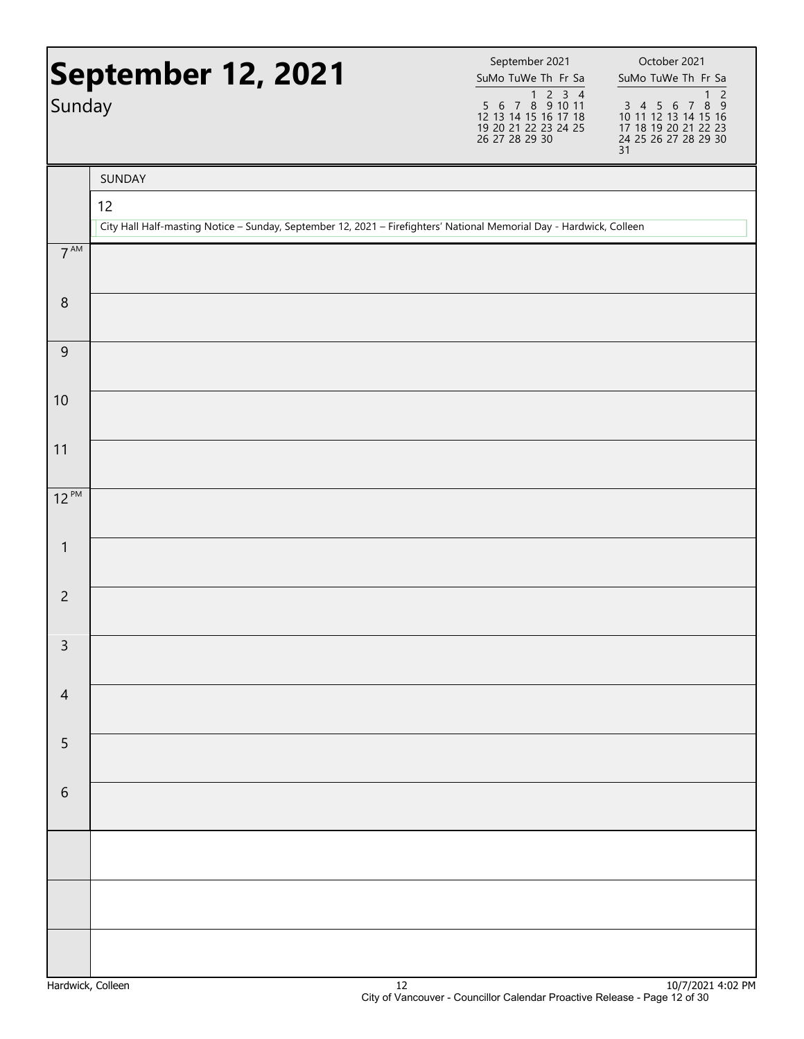| Sunday          | <b>September 12, 2021</b>                                                                                            | September 2021<br>SuMo TuWe Th Fr Sa<br>$\begin{array}{@{}c@{\hspace{1em}}c@{\hspace{1em}}c@{\hspace{1em}}c@{\hspace{1em}}c@{\hspace{1em}}c@{\hspace{1em}}c@{\hspace{1em}}c@{\hspace{1em}}c@{\hspace{1em}}c@{\hspace{1em}}c@{\hspace{1em}}c@{\hspace{1em}}c@{\hspace{1em}}c@{\hspace{1em}}c@{\hspace{1em}}c@{\hspace{1em}}c@{\hspace{1em}}c@{\hspace{1em}}c@{\hspace{1em}}c@{\hspace{1em}}c@{\hspace{1em}}c@{\hspace{1em}}c@{\hspace{1em}}c@{\hspace{$<br>12 13 14 15 16 17 18<br>19 20 21 22 23 24 25<br>26 27 28 29 30 | October 2021<br>SuMo TuWe Th Fr Sa<br>$\overline{c}$<br>$\mathbf{1}$<br>3 4 5 6 7 8 9<br>10 11 12 13 14 15 16<br>17 18 19 20 21 22 23<br>24 25 26 27 28 29 30<br>31 |
|-----------------|----------------------------------------------------------------------------------------------------------------------|--------------------------------------------------------------------------------------------------------------------------------------------------------------------------------------------------------------------------------------------------------------------------------------------------------------------------------------------------------------------------------------------------------------------------------------------------------------------------------------------------------------------------|---------------------------------------------------------------------------------------------------------------------------------------------------------------------|
|                 | SUNDAY                                                                                                               |                                                                                                                                                                                                                                                                                                                                                                                                                                                                                                                          |                                                                                                                                                                     |
|                 | 12                                                                                                                   |                                                                                                                                                                                                                                                                                                                                                                                                                                                                                                                          |                                                                                                                                                                     |
| $7^{\text{AM}}$ | City Hall Half-masting Notice - Sunday, September 12, 2021 - Firefighters' National Memorial Day - Hardwick, Colleen |                                                                                                                                                                                                                                                                                                                                                                                                                                                                                                                          |                                                                                                                                                                     |
|                 |                                                                                                                      |                                                                                                                                                                                                                                                                                                                                                                                                                                                                                                                          |                                                                                                                                                                     |
| $\,8\,$         |                                                                                                                      |                                                                                                                                                                                                                                                                                                                                                                                                                                                                                                                          |                                                                                                                                                                     |
| $\overline{9}$  |                                                                                                                      |                                                                                                                                                                                                                                                                                                                                                                                                                                                                                                                          |                                                                                                                                                                     |
| 10              |                                                                                                                      |                                                                                                                                                                                                                                                                                                                                                                                                                                                                                                                          |                                                                                                                                                                     |
| 11              |                                                                                                                      |                                                                                                                                                                                                                                                                                                                                                                                                                                                                                                                          |                                                                                                                                                                     |
| $12^{PM}$       |                                                                                                                      |                                                                                                                                                                                                                                                                                                                                                                                                                                                                                                                          |                                                                                                                                                                     |
| $\mathbf{1}$    |                                                                                                                      |                                                                                                                                                                                                                                                                                                                                                                                                                                                                                                                          |                                                                                                                                                                     |
| $\overline{c}$  |                                                                                                                      |                                                                                                                                                                                                                                                                                                                                                                                                                                                                                                                          |                                                                                                                                                                     |
| 3               |                                                                                                                      |                                                                                                                                                                                                                                                                                                                                                                                                                                                                                                                          |                                                                                                                                                                     |
| $\overline{4}$  |                                                                                                                      |                                                                                                                                                                                                                                                                                                                                                                                                                                                                                                                          |                                                                                                                                                                     |
| 5               |                                                                                                                      |                                                                                                                                                                                                                                                                                                                                                                                                                                                                                                                          |                                                                                                                                                                     |
| $\sqrt{6}$      |                                                                                                                      |                                                                                                                                                                                                                                                                                                                                                                                                                                                                                                                          |                                                                                                                                                                     |
|                 |                                                                                                                      |                                                                                                                                                                                                                                                                                                                                                                                                                                                                                                                          |                                                                                                                                                                     |
|                 |                                                                                                                      |                                                                                                                                                                                                                                                                                                                                                                                                                                                                                                                          |                                                                                                                                                                     |
|                 |                                                                                                                      |                                                                                                                                                                                                                                                                                                                                                                                                                                                                                                                          |                                                                                                                                                                     |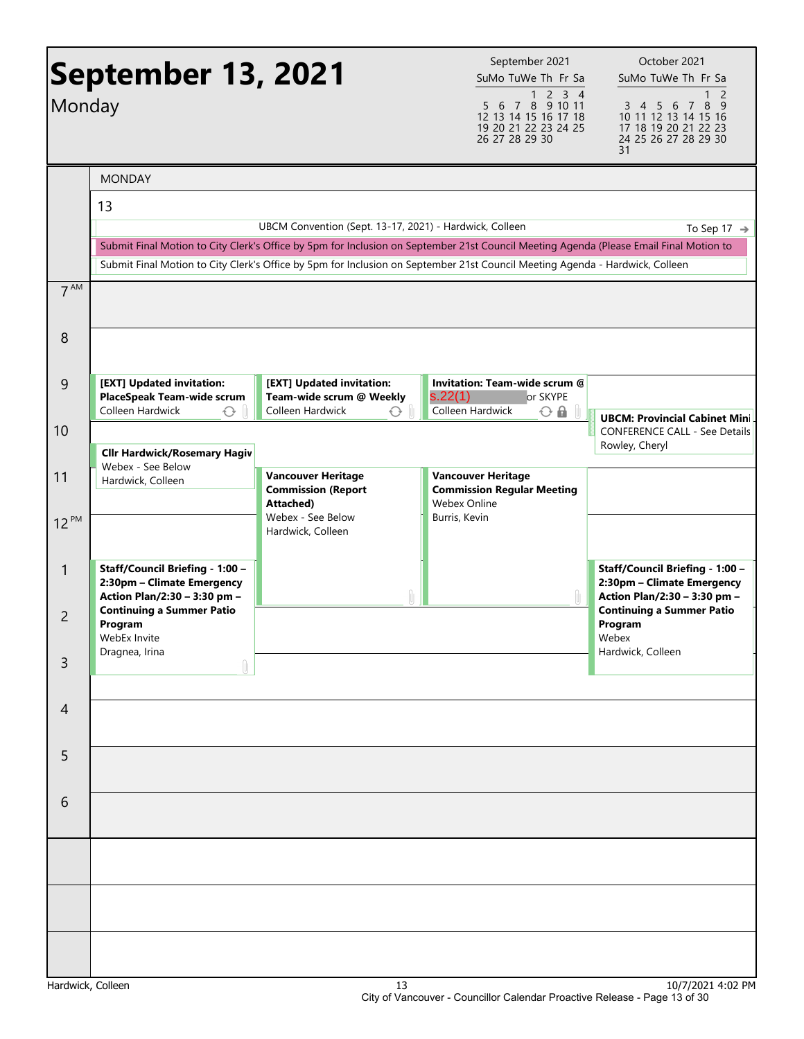| Monday          | <b>September 13, 2021</b>                                                                     |                                                                                 | September 2021<br>SuMo TuWe Th Fr Sa<br>1 2 3 4<br>7 8 9 10 11<br>5 6<br>12 13 14 15 16 17 18<br>19 20 21 22 23 24 25<br>26 27 28 29 30                                                                                                                                | October 2021<br>SuMo TuWe Th Fr Sa<br>2<br>8<br>3 4 5 6<br>$\overline{7}$<br>- 9<br>10 11 12 13 14 15 16<br>17 18 19 20 21 22 23<br>24 25 26 27 28 29 30<br>31 |
|-----------------|-----------------------------------------------------------------------------------------------|---------------------------------------------------------------------------------|------------------------------------------------------------------------------------------------------------------------------------------------------------------------------------------------------------------------------------------------------------------------|----------------------------------------------------------------------------------------------------------------------------------------------------------------|
|                 | <b>MONDAY</b><br>13                                                                           | UBCM Convention (Sept. 13-17, 2021) - Hardwick, Colleen                         |                                                                                                                                                                                                                                                                        | To Sep 17 $\rightarrow$                                                                                                                                        |
|                 |                                                                                               |                                                                                 | Submit Final Motion to City Clerk's Office by 5pm for Inclusion on September 21st Council Meeting Agenda (Please Email Final Motion to<br>Submit Final Motion to City Clerk's Office by 5pm for Inclusion on September 21st Council Meeting Agenda - Hardwick, Colleen |                                                                                                                                                                |
| 7 <sup>AM</sup> |                                                                                               |                                                                                 |                                                                                                                                                                                                                                                                        |                                                                                                                                                                |
| 8               |                                                                                               |                                                                                 |                                                                                                                                                                                                                                                                        |                                                                                                                                                                |
| 9               | [EXT] Updated invitation:<br>PlaceSpeak Team-wide scrum<br>Colleen Hardwick<br>$\bigodot$     | [EXT] Updated invitation:<br>Team-wide scrum @ Weekly<br>Colleen Hardwick<br>くう | Invitation: Team-wide scrum @<br>s.22(1)<br>or SKYPE<br>Colleen Hardwick<br>$O$ $\Omega$                                                                                                                                                                               |                                                                                                                                                                |
| 10              | <b>Cllr Hardwick/Rosemary Hagiv</b>                                                           |                                                                                 |                                                                                                                                                                                                                                                                        | <b>UBCM: Provincial Cabinet Mini</b><br><b>CONFERENCE CALL - See Details</b><br>Rowley, Cheryl                                                                 |
| 11              | Webex - See Below<br>Hardwick, Colleen                                                        | <b>Vancouver Heritage</b><br><b>Commission (Report</b><br>Attached)             | <b>Vancouver Heritage</b><br><b>Commission Regular Meeting</b><br>Webex Online                                                                                                                                                                                         |                                                                                                                                                                |
| 12 PM           |                                                                                               | Webex - See Below<br>Hardwick, Colleen                                          | Burris, Kevin                                                                                                                                                                                                                                                          |                                                                                                                                                                |
| 1               | Staff/Council Briefing - 1:00 -<br>2:30pm - Climate Emergency<br>Action Plan/2:30 - 3:30 pm - |                                                                                 |                                                                                                                                                                                                                                                                        | Staff/Council Briefing - 1:00 -<br>2:30pm - Climate Emergency<br>Action Plan/2:30 - 3:30 pm -                                                                  |
| 2               | <b>Continuing a Summer Patio</b><br>Program<br>WebEx Invite<br>Dragnea, Irina                 |                                                                                 |                                                                                                                                                                                                                                                                        | <b>Continuing a Summer Patio</b><br>Program<br>Webex<br>Hardwick, Colleen                                                                                      |
| $\mathsf{3}$    | Û                                                                                             |                                                                                 |                                                                                                                                                                                                                                                                        |                                                                                                                                                                |
| 4               |                                                                                               |                                                                                 |                                                                                                                                                                                                                                                                        |                                                                                                                                                                |
| 5               |                                                                                               |                                                                                 |                                                                                                                                                                                                                                                                        |                                                                                                                                                                |
| 6               |                                                                                               |                                                                                 |                                                                                                                                                                                                                                                                        |                                                                                                                                                                |
|                 |                                                                                               |                                                                                 |                                                                                                                                                                                                                                                                        |                                                                                                                                                                |
|                 |                                                                                               |                                                                                 |                                                                                                                                                                                                                                                                        |                                                                                                                                                                |
|                 |                                                                                               |                                                                                 |                                                                                                                                                                                                                                                                        |                                                                                                                                                                |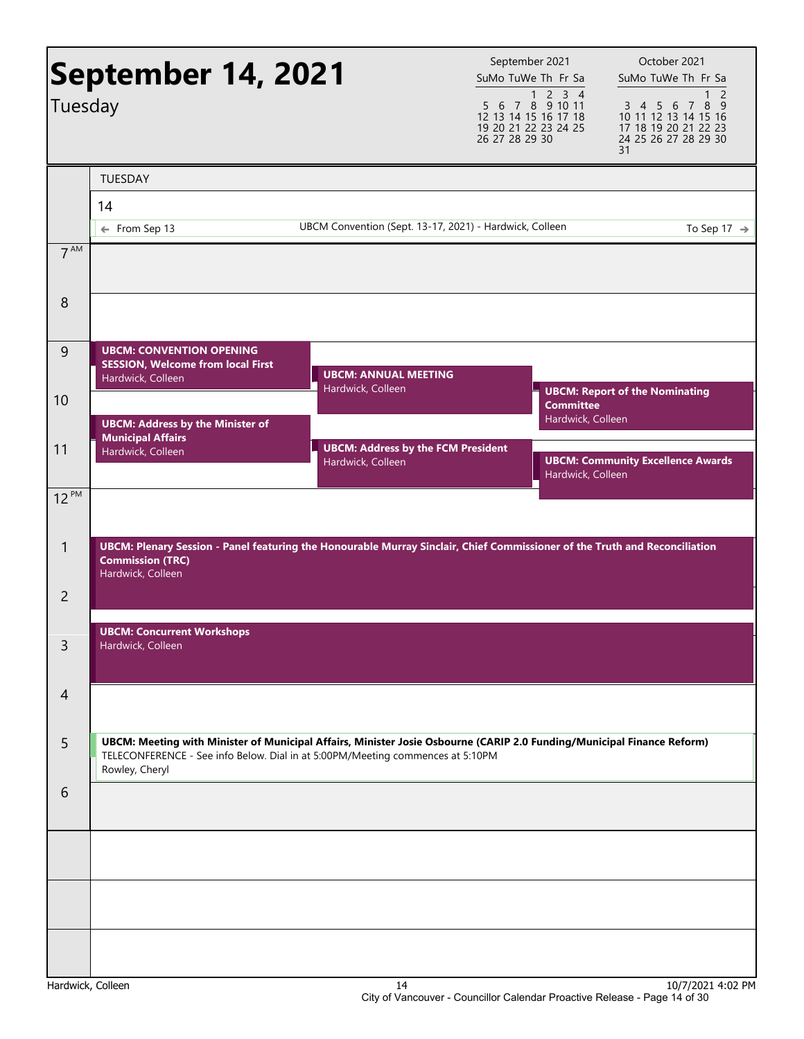|                 | <b>September 14, 2021</b>                                                                                                                                                                                                  |                                                                | September 2021<br>SuMo TuWe Th Fr Sa                                                                                                                                                                                                                                                                                                                                                                                                                                             | October 2021<br>SuMo TuWe Th Fr Sa                                                                            |
|-----------------|----------------------------------------------------------------------------------------------------------------------------------------------------------------------------------------------------------------------------|----------------------------------------------------------------|----------------------------------------------------------------------------------------------------------------------------------------------------------------------------------------------------------------------------------------------------------------------------------------------------------------------------------------------------------------------------------------------------------------------------------------------------------------------------------|---------------------------------------------------------------------------------------------------------------|
| Tuesday         |                                                                                                                                                                                                                            |                                                                | $\begin{array}{@{}c@{\hspace{1em}}c@{\hspace{1em}}c@{\hspace{1em}}c@{\hspace{1em}}c@{\hspace{1em}}c@{\hspace{1em}}c@{\hspace{1em}}c@{\hspace{1em}}c@{\hspace{1em}}c@{\hspace{1em}}c@{\hspace{1em}}c@{\hspace{1em}}c@{\hspace{1em}}c@{\hspace{1em}}c@{\hspace{1em}}c@{\hspace{1em}}c@{\hspace{1em}}c@{\hspace{1em}}c@{\hspace{1em}}c@{\hspace{1em}}c@{\hspace{1em}}c@{\hspace{1em}}c@{\hspace{1em}}c@{\hspace{$<br>12 13 14 15 16 17 18<br>19 20 21 22 23 24 25<br>26 27 28 29 30 | $\overline{c}$<br>3 4 5 6 7 8 9<br>10 11 12 13 14 15 16<br>17 18 19 20 21 22 23<br>24 25 26 27 28 29 30<br>31 |
|                 | <b>TUESDAY</b>                                                                                                                                                                                                             |                                                                |                                                                                                                                                                                                                                                                                                                                                                                                                                                                                  |                                                                                                               |
|                 | 14                                                                                                                                                                                                                         |                                                                |                                                                                                                                                                                                                                                                                                                                                                                                                                                                                  |                                                                                                               |
|                 | ← From Sep 13                                                                                                                                                                                                              | UBCM Convention (Sept. 13-17, 2021) - Hardwick, Colleen        |                                                                                                                                                                                                                                                                                                                                                                                                                                                                                  | To Sep 17 $\rightarrow$                                                                                       |
| 7 <sup>AM</sup> |                                                                                                                                                                                                                            |                                                                |                                                                                                                                                                                                                                                                                                                                                                                                                                                                                  |                                                                                                               |
| 8               |                                                                                                                                                                                                                            |                                                                |                                                                                                                                                                                                                                                                                                                                                                                                                                                                                  |                                                                                                               |
| 9               | <b>UBCM: CONVENTION OPENING</b><br><b>SESSION, Welcome from local First</b><br>Hardwick, Colleen                                                                                                                           | <b>UBCM: ANNUAL MEETING</b><br>Hardwick, Colleen               |                                                                                                                                                                                                                                                                                                                                                                                                                                                                                  |                                                                                                               |
| 10              | <b>UBCM: Address by the Minister of</b>                                                                                                                                                                                    |                                                                | <b>Committee</b><br>Hardwick, Colleen                                                                                                                                                                                                                                                                                                                                                                                                                                            | <b>UBCM: Report of the Nominating</b>                                                                         |
| 11              | <b>Municipal Affairs</b><br>Hardwick, Colleen                                                                                                                                                                              | <b>UBCM: Address by the FCM President</b><br>Hardwick, Colleen | Hardwick, Colleen                                                                                                                                                                                                                                                                                                                                                                                                                                                                | <b>UBCM: Community Excellence Awards</b>                                                                      |
| $12^{PM}$       |                                                                                                                                                                                                                            |                                                                |                                                                                                                                                                                                                                                                                                                                                                                                                                                                                  |                                                                                                               |
| 1               | UBCM: Plenary Session - Panel featuring the Honourable Murray Sinclair, Chief Commissioner of the Truth and Reconciliation<br><b>Commission (TRC)</b><br>Hardwick, Colleen                                                 |                                                                |                                                                                                                                                                                                                                                                                                                                                                                                                                                                                  |                                                                                                               |
| $\overline{2}$  |                                                                                                                                                                                                                            |                                                                |                                                                                                                                                                                                                                                                                                                                                                                                                                                                                  |                                                                                                               |
| 3               | <b>UBCM: Concurrent Workshops</b><br>Hardwick, Colleen                                                                                                                                                                     |                                                                |                                                                                                                                                                                                                                                                                                                                                                                                                                                                                  |                                                                                                               |
| $\overline{4}$  |                                                                                                                                                                                                                            |                                                                |                                                                                                                                                                                                                                                                                                                                                                                                                                                                                  |                                                                                                               |
| 5               | UBCM: Meeting with Minister of Municipal Affairs, Minister Josie Osbourne (CARIP 2.0 Funding/Municipal Finance Reform)<br>TELECONFERENCE - See info Below. Dial in at 5:00PM/Meeting commences at 5:10PM<br>Rowley, Cheryl |                                                                |                                                                                                                                                                                                                                                                                                                                                                                                                                                                                  |                                                                                                               |
| 6               |                                                                                                                                                                                                                            |                                                                |                                                                                                                                                                                                                                                                                                                                                                                                                                                                                  |                                                                                                               |
|                 |                                                                                                                                                                                                                            |                                                                |                                                                                                                                                                                                                                                                                                                                                                                                                                                                                  |                                                                                                               |
|                 |                                                                                                                                                                                                                            |                                                                |                                                                                                                                                                                                                                                                                                                                                                                                                                                                                  |                                                                                                               |
|                 |                                                                                                                                                                                                                            |                                                                |                                                                                                                                                                                                                                                                                                                                                                                                                                                                                  |                                                                                                               |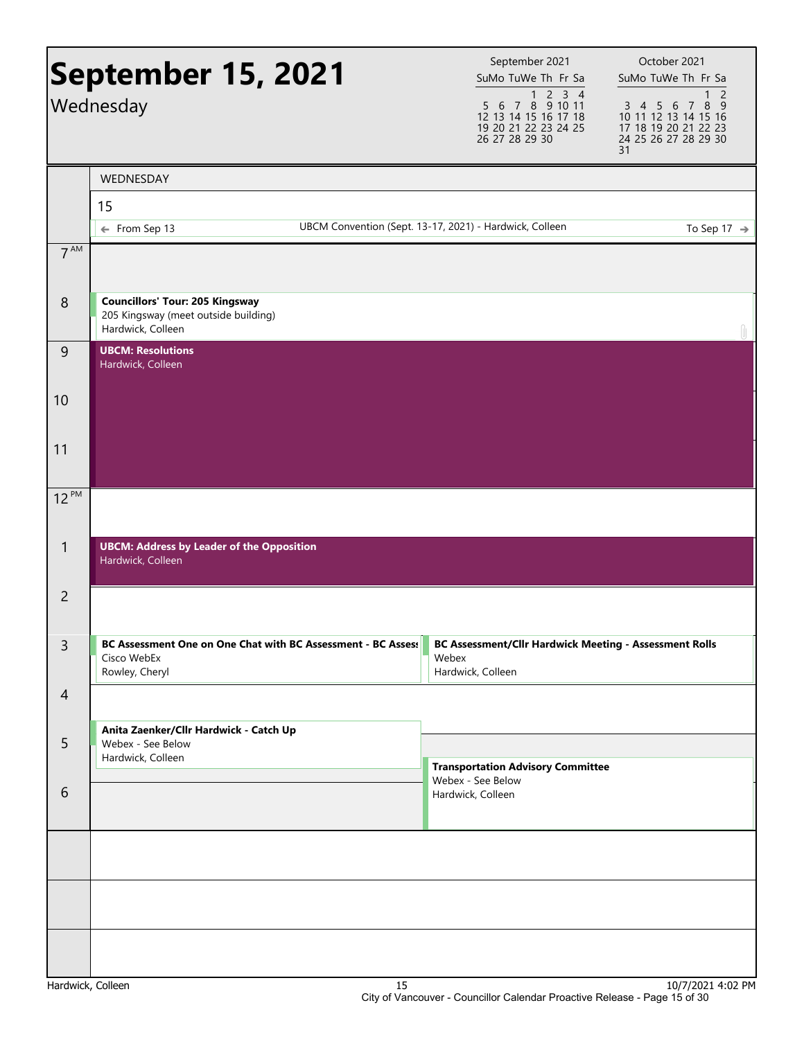|                 | <b>September 15, 2021</b><br>Wednesday                                                              | September 2021<br>SuMo TuWe Th Fr Sa<br>$1 2 3 4$<br>5 6 7 8 9 10 11<br>12 13 14 15 16 17 18<br>19 20 21 22 23 24 25<br>26 27 28 29 30 | October 2021<br>SuMo TuWe Th Fr Sa<br>2<br>3 4 5 6 7<br>8<br>- 9<br>10 11 12 13 14 15 16<br>17 18 19 20 21 22 23<br>24 25 26 27 28 29 30<br>31 |
|-----------------|-----------------------------------------------------------------------------------------------------|----------------------------------------------------------------------------------------------------------------------------------------|------------------------------------------------------------------------------------------------------------------------------------------------|
|                 | WEDNESDAY<br>15                                                                                     |                                                                                                                                        |                                                                                                                                                |
|                 | ← From Sep 13                                                                                       | UBCM Convention (Sept. 13-17, 2021) - Hardwick, Colleen                                                                                | To Sep 17 $\rightarrow$                                                                                                                        |
| 7 <sup>AM</sup> |                                                                                                     |                                                                                                                                        |                                                                                                                                                |
| 8               | <b>Councillors' Tour: 205 Kingsway</b><br>205 Kingsway (meet outside building)<br>Hardwick, Colleen |                                                                                                                                        |                                                                                                                                                |
| $\overline{9}$  | <b>UBCM: Resolutions</b><br>Hardwick, Colleen                                                       |                                                                                                                                        |                                                                                                                                                |
| 10              |                                                                                                     |                                                                                                                                        |                                                                                                                                                |
| 11              |                                                                                                     |                                                                                                                                        |                                                                                                                                                |
| $12^{PM}$       |                                                                                                     |                                                                                                                                        |                                                                                                                                                |
| $\mathbf{1}$    | <b>UBCM: Address by Leader of the Opposition</b><br>Hardwick, Colleen                               |                                                                                                                                        |                                                                                                                                                |
| $\overline{2}$  |                                                                                                     |                                                                                                                                        |                                                                                                                                                |
| $\mathsf{3}$    | BC Assessment One on One Chat with BC Assessment - BC Asses:<br>Cisco WebEx<br>Rowley, Cheryl       | BC Assessment/Cllr Hardwick Meeting - Assessment Rolls<br>Webex<br>Hardwick, Colleen                                                   |                                                                                                                                                |
| $\overline{4}$  |                                                                                                     |                                                                                                                                        |                                                                                                                                                |
| 5               | Anita Zaenker/Cllr Hardwick - Catch Up<br>Webex - See Below<br>Hardwick, Colleen                    | <b>Transportation Advisory Committee</b>                                                                                               |                                                                                                                                                |
| 6               |                                                                                                     | Webex - See Below<br>Hardwick, Colleen                                                                                                 |                                                                                                                                                |
|                 |                                                                                                     |                                                                                                                                        |                                                                                                                                                |
|                 |                                                                                                     |                                                                                                                                        |                                                                                                                                                |
|                 |                                                                                                     |                                                                                                                                        |                                                                                                                                                |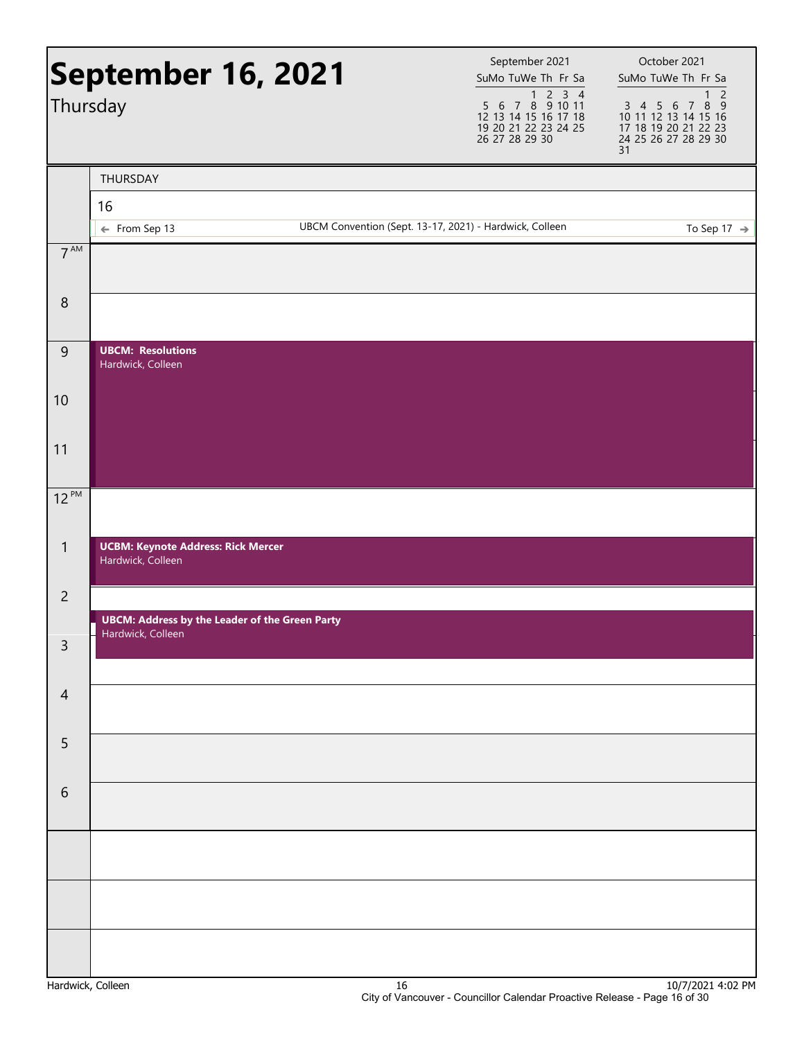| Thursday         | September 16, 2021                                                         | September 2021<br>SuMo TuWe Th Fr Sa<br>5 6 7 8 9 10 11<br>12 13 14 15 16 17 18 | October 2021<br>SuMo TuWe Th Fr Sa<br>$\overline{c}$<br>$\mathbf{1}$<br>3 4 5 6 7 8 9<br>10 11 12 13 14 15 16 |
|------------------|----------------------------------------------------------------------------|---------------------------------------------------------------------------------|---------------------------------------------------------------------------------------------------------------|
|                  |                                                                            | 19 20 21 22 23 24 25<br>26 27 28 29 30                                          | 17 18 19 20 21 22 23<br>24 25 26 27 28 29 30<br>31                                                            |
|                  | THURSDAY                                                                   |                                                                                 |                                                                                                               |
|                  | 16                                                                         |                                                                                 |                                                                                                               |
|                  | ← From Sep 13                                                              | UBCM Convention (Sept. 13-17, 2021) - Hardwick, Colleen                         | To Sep 17 $\rightarrow$                                                                                       |
| $7^{\text{AM}}$  |                                                                            |                                                                                 |                                                                                                               |
| $\,8\,$          |                                                                            |                                                                                 |                                                                                                               |
| $\boldsymbol{9}$ | <b>UBCM: Resolutions</b><br>Hardwick, Colleen                              |                                                                                 |                                                                                                               |
| 10               |                                                                            |                                                                                 |                                                                                                               |
| 11               |                                                                            |                                                                                 |                                                                                                               |
| $12^{PM}$        |                                                                            |                                                                                 |                                                                                                               |
| $\mathbf{1}$     | <b>UCBM: Keynote Address: Rick Mercer</b><br>Hardwick, Colleen             |                                                                                 |                                                                                                               |
| $\overline{2}$   |                                                                            |                                                                                 |                                                                                                               |
| 3                | <b>UBCM: Address by the Leader of the Green Party</b><br>Hardwick, Colleen |                                                                                 |                                                                                                               |
| $\overline{4}$   |                                                                            |                                                                                 |                                                                                                               |
|                  |                                                                            |                                                                                 |                                                                                                               |
| 5                |                                                                            |                                                                                 |                                                                                                               |
| 6                |                                                                            |                                                                                 |                                                                                                               |
|                  |                                                                            |                                                                                 |                                                                                                               |
|                  |                                                                            |                                                                                 |                                                                                                               |
|                  |                                                                            |                                                                                 |                                                                                                               |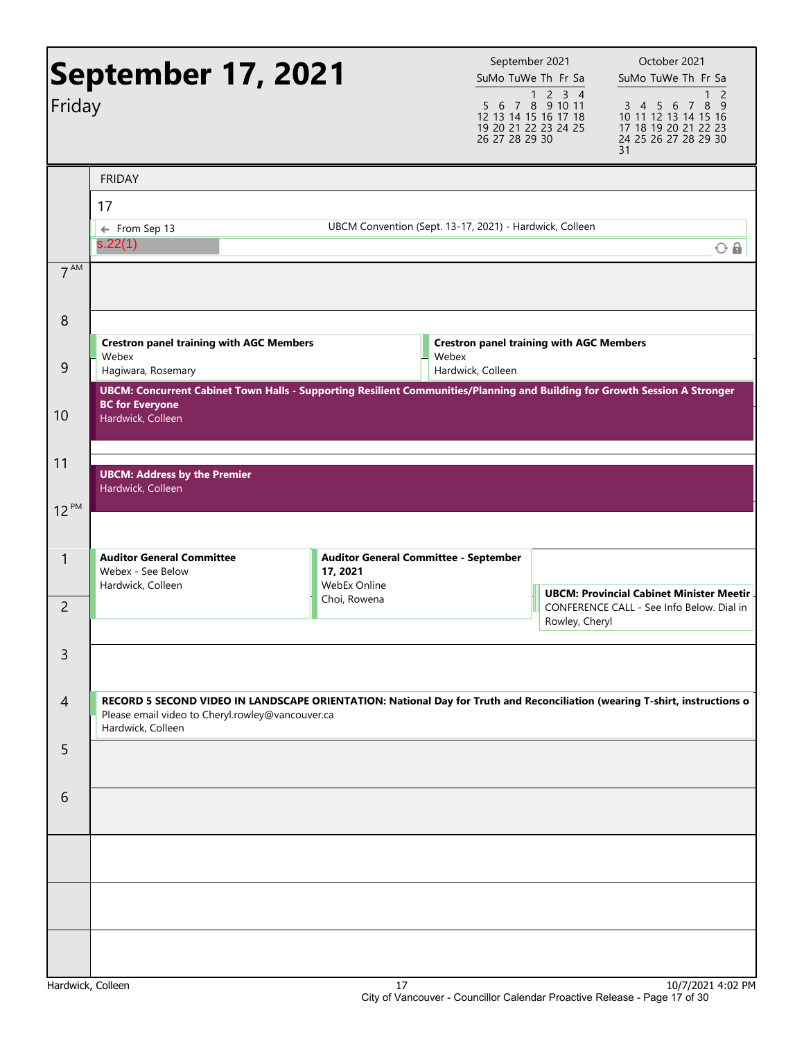| Friday          | <b>September 17, 2021</b>                                                                                                                                                                           |                                                                   | September 2021<br>SuMo TuWe Th Fr Sa<br>5 6 7 8 9 10 11<br>12 13 14 15 16 17 18<br>19 20 21 22 23 24 25<br>26 27 28 29 30 | 1 2 3 4        | October 2021<br>SuMo TuWe Th Fr Sa<br>$\overline{2}$<br>8<br>3 4 5 6 7<br>- 9<br>10 11 12 13 14 15 16<br>17 18 19 20 21 22 23<br>24 25 26 27 28 29 30<br>31 |
|-----------------|-----------------------------------------------------------------------------------------------------------------------------------------------------------------------------------------------------|-------------------------------------------------------------------|---------------------------------------------------------------------------------------------------------------------------|----------------|-------------------------------------------------------------------------------------------------------------------------------------------------------------|
|                 | <b>FRIDAY</b>                                                                                                                                                                                       |                                                                   |                                                                                                                           |                |                                                                                                                                                             |
|                 | 17                                                                                                                                                                                                  |                                                                   |                                                                                                                           |                |                                                                                                                                                             |
|                 | $\leftarrow$ From Sep 13<br>s.22(1)                                                                                                                                                                 | UBCM Convention (Sept. 13-17, 2021) - Hardwick, Colleen           |                                                                                                                           |                | $O$ $\Omega$                                                                                                                                                |
| 7 <sup>AM</sup> |                                                                                                                                                                                                     |                                                                   |                                                                                                                           |                |                                                                                                                                                             |
| 8               |                                                                                                                                                                                                     |                                                                   |                                                                                                                           |                |                                                                                                                                                             |
| 9               | <b>Crestron panel training with AGC Members</b><br>Webex                                                                                                                                            | Webex                                                             | <b>Crestron panel training with AGC Members</b>                                                                           |                |                                                                                                                                                             |
|                 | Hagiwara, Rosemary<br>UBCM: Concurrent Cabinet Town Halls - Supporting Resilient Communities/Planning and Building for Growth Session A Stronger                                                    |                                                                   | Hardwick, Colleen                                                                                                         |                |                                                                                                                                                             |
| 10              | <b>BC for Everyone</b><br>Hardwick, Colleen                                                                                                                                                         |                                                                   |                                                                                                                           |                |                                                                                                                                                             |
| 11              | <b>UBCM: Address by the Premier</b><br>Hardwick, Colleen                                                                                                                                            |                                                                   |                                                                                                                           |                |                                                                                                                                                             |
| $12^{PM}$       |                                                                                                                                                                                                     |                                                                   |                                                                                                                           |                |                                                                                                                                                             |
| 1               | <b>Auditor General Committee</b><br>Webex - See Below<br>Hardwick, Colleen                                                                                                                          | Auditor General Committee - September<br>17, 2021<br>WebEx Online |                                                                                                                           |                |                                                                                                                                                             |
| 2               |                                                                                                                                                                                                     | Choi, Rowena                                                      |                                                                                                                           | Rowley, Cheryl | <b>UBCM: Provincial Cabinet Minister Meetin</b><br>CONFERENCE CALL - See Info Below. Dial in                                                                |
| 3               |                                                                                                                                                                                                     |                                                                   |                                                                                                                           |                |                                                                                                                                                             |
| $\overline{4}$  | RECORD 5 SECOND VIDEO IN LANDSCAPE ORIENTATION: National Day for Truth and Reconciliation (wearing T-shirt, instructions o<br>Please email video to Cheryl.rowley@vancouver.ca<br>Hardwick, Colleen |                                                                   |                                                                                                                           |                |                                                                                                                                                             |
| 5               |                                                                                                                                                                                                     |                                                                   |                                                                                                                           |                |                                                                                                                                                             |
| 6               |                                                                                                                                                                                                     |                                                                   |                                                                                                                           |                |                                                                                                                                                             |
|                 |                                                                                                                                                                                                     |                                                                   |                                                                                                                           |                |                                                                                                                                                             |
|                 |                                                                                                                                                                                                     |                                                                   |                                                                                                                           |                |                                                                                                                                                             |
|                 |                                                                                                                                                                                                     |                                                                   |                                                                                                                           |                |                                                                                                                                                             |
|                 |                                                                                                                                                                                                     |                                                                   |                                                                                                                           |                | 0.171003                                                                                                                                                    |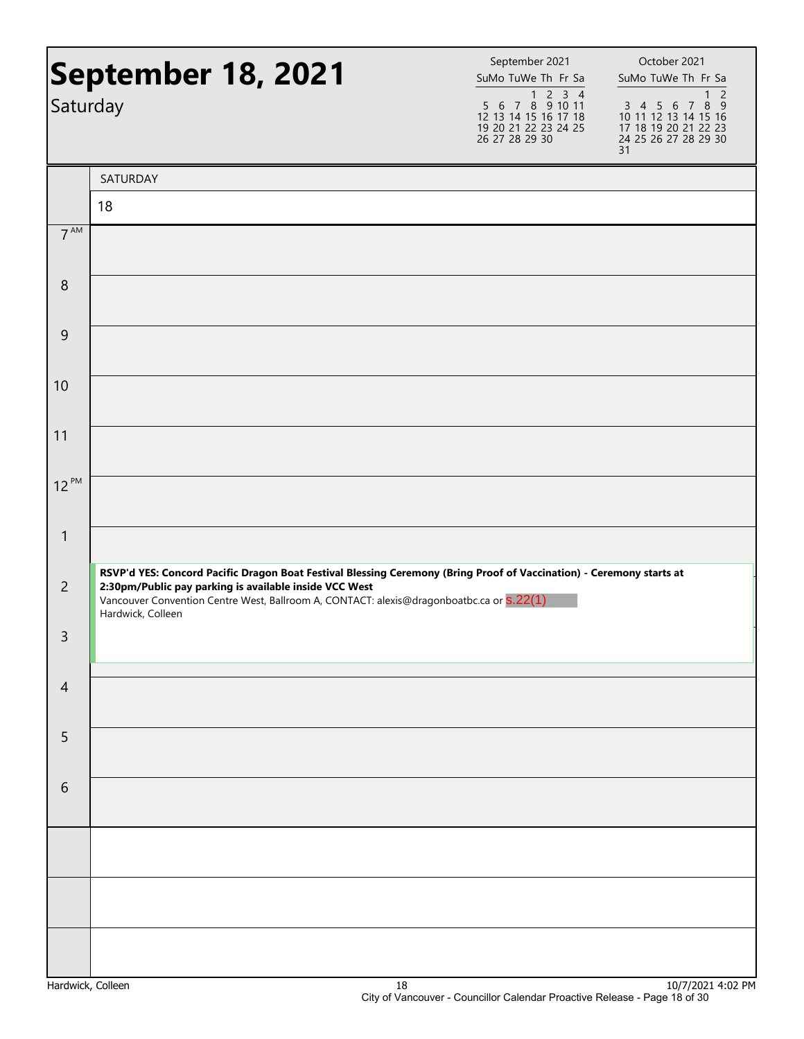| Saturday         | September 18, 2021                                                                                                                                                                                                                                                                              | September 2021<br>SuMo TuWe Th Fr Sa<br>$5\ 6\ 7\ 8\ 9\ 10\ 11$<br>12 13 14 15 16 17 18<br>19 20 21 22 23 24 25<br>26 27 28 29 30 | October 2021<br>SuMo TuWe Th Fr Sa<br>$\overline{2}$<br>1<br>3 4 5 6 7 8 9<br>10 11 12 13 14 15 16<br>17 18 19 20 21 22 23<br>24 25 26 27 28 29 30<br>31 |  |
|------------------|-------------------------------------------------------------------------------------------------------------------------------------------------------------------------------------------------------------------------------------------------------------------------------------------------|-----------------------------------------------------------------------------------------------------------------------------------|----------------------------------------------------------------------------------------------------------------------------------------------------------|--|
|                  | SATURDAY                                                                                                                                                                                                                                                                                        |                                                                                                                                   |                                                                                                                                                          |  |
|                  | 18                                                                                                                                                                                                                                                                                              |                                                                                                                                   |                                                                                                                                                          |  |
| $7^{\text{AM}}$  |                                                                                                                                                                                                                                                                                                 |                                                                                                                                   |                                                                                                                                                          |  |
| $\boldsymbol{8}$ |                                                                                                                                                                                                                                                                                                 |                                                                                                                                   |                                                                                                                                                          |  |
| 9                |                                                                                                                                                                                                                                                                                                 |                                                                                                                                   |                                                                                                                                                          |  |
| 10               |                                                                                                                                                                                                                                                                                                 |                                                                                                                                   |                                                                                                                                                          |  |
| 11               |                                                                                                                                                                                                                                                                                                 |                                                                                                                                   |                                                                                                                                                          |  |
| $12^{PM}$        |                                                                                                                                                                                                                                                                                                 |                                                                                                                                   |                                                                                                                                                          |  |
| $\mathbf{1}$     |                                                                                                                                                                                                                                                                                                 |                                                                                                                                   |                                                                                                                                                          |  |
| $\overline{2}$   | RSVP'd YES: Concord Pacific Dragon Boat Festival Blessing Ceremony (Bring Proof of Vaccination) - Ceremony starts at<br>2:30pm/Public pay parking is available inside VCC West<br>Vancouver Convention Centre West, Ballroom A, CONTACT: alexis@dragonboatbc.ca or S.22(1)<br>Hardwick, Colleen |                                                                                                                                   |                                                                                                                                                          |  |
| 3                |                                                                                                                                                                                                                                                                                                 |                                                                                                                                   |                                                                                                                                                          |  |
| $\overline{4}$   |                                                                                                                                                                                                                                                                                                 |                                                                                                                                   |                                                                                                                                                          |  |
| 5                |                                                                                                                                                                                                                                                                                                 |                                                                                                                                   |                                                                                                                                                          |  |
| 6                |                                                                                                                                                                                                                                                                                                 |                                                                                                                                   |                                                                                                                                                          |  |
|                  |                                                                                                                                                                                                                                                                                                 |                                                                                                                                   |                                                                                                                                                          |  |
|                  |                                                                                                                                                                                                                                                                                                 |                                                                                                                                   |                                                                                                                                                          |  |
|                  |                                                                                                                                                                                                                                                                                                 |                                                                                                                                   |                                                                                                                                                          |  |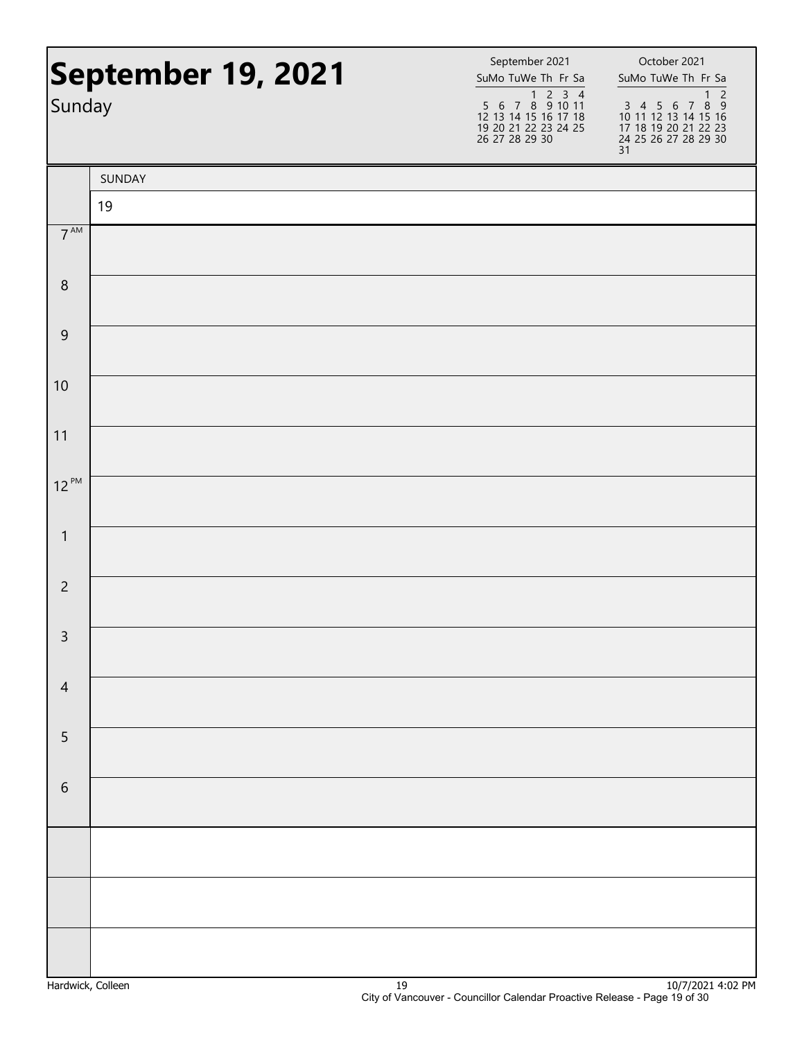| Sunday          | September 19, 2021 | September 2021<br>SuMo TuWe Th Fr Sa<br>1 2 3 4<br>5 6 7 8 9 10 11<br>12 13 14 15 16 17 18<br>19 20 21 22 23 24 25<br>26 27 28 29 30 | October 2021<br>SuMo TuWe Th Fr Sa<br>$\overline{\phantom{0}}$<br>$\mathbf{1}$<br>$\begin{array}{cccccc}\n3 & 4 & 5 & 6 & 7 & 8 & 9 \\ 10 & 11 & 12 & 13 & 14 & 15 & 16\n\end{array}$<br>17 18 19 20 21 22 23<br>24 25 26 27 28 29 30<br>31 |
|-----------------|--------------------|--------------------------------------------------------------------------------------------------------------------------------------|---------------------------------------------------------------------------------------------------------------------------------------------------------------------------------------------------------------------------------------------|
|                 | SUNDAY             |                                                                                                                                      |                                                                                                                                                                                                                                             |
|                 | 19                 |                                                                                                                                      |                                                                                                                                                                                                                                             |
| 7 <sup>AM</sup> |                    |                                                                                                                                      |                                                                                                                                                                                                                                             |
| $\,8\,$         |                    |                                                                                                                                      |                                                                                                                                                                                                                                             |
| $\mathsf 9$     |                    |                                                                                                                                      |                                                                                                                                                                                                                                             |
| 10              |                    |                                                                                                                                      |                                                                                                                                                                                                                                             |
| 11              |                    |                                                                                                                                      |                                                                                                                                                                                                                                             |
| $12^{PM}$       |                    |                                                                                                                                      |                                                                                                                                                                                                                                             |
| $\mathbf{1}$    |                    |                                                                                                                                      |                                                                                                                                                                                                                                             |
| $\overline{2}$  |                    |                                                                                                                                      |                                                                                                                                                                                                                                             |
| $\mathbf{R}$    |                    |                                                                                                                                      |                                                                                                                                                                                                                                             |
| $\overline{4}$  |                    |                                                                                                                                      |                                                                                                                                                                                                                                             |
| 5               |                    |                                                                                                                                      |                                                                                                                                                                                                                                             |
| $\,$ 6 $\,$     |                    |                                                                                                                                      |                                                                                                                                                                                                                                             |
|                 |                    |                                                                                                                                      |                                                                                                                                                                                                                                             |
|                 |                    |                                                                                                                                      |                                                                                                                                                                                                                                             |
|                 |                    |                                                                                                                                      |                                                                                                                                                                                                                                             |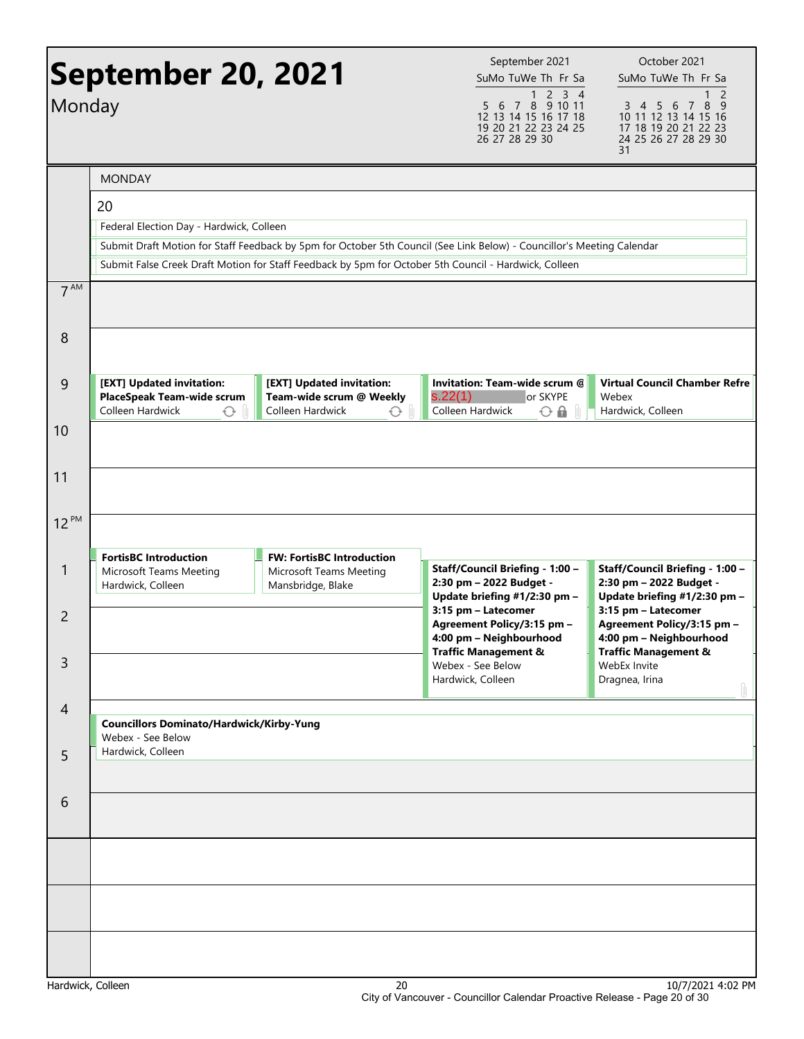| Monday          | <b>September 20, 2021</b>                                                                |                                                                                                       | September 2021<br>SuMo TuWe Th Fr Sa<br>1 2 3 4<br>7 8 9 10 11<br>5 6<br>12 13 14 15 16 17 18<br>19 20 21 22 23 24 25<br>26 27 28 29 30 | October 2021<br>SuMo TuWe Th Fr Sa<br>2<br>8<br>3 4 5 6<br>$\overline{7}$<br>- 9<br>10 11 12 13 14 15 16<br>17 18 19 20 21 22 23<br>24 25 26 27 28 29 30<br>31 |
|-----------------|------------------------------------------------------------------------------------------|-------------------------------------------------------------------------------------------------------|-----------------------------------------------------------------------------------------------------------------------------------------|----------------------------------------------------------------------------------------------------------------------------------------------------------------|
|                 | <b>MONDAY</b>                                                                            |                                                                                                       |                                                                                                                                         |                                                                                                                                                                |
|                 | 20<br>Federal Election Day - Hardwick, Colleen                                           | Submit False Creek Draft Motion for Staff Feedback by 5pm for October 5th Council - Hardwick, Colleen | Submit Draft Motion for Staff Feedback by 5pm for October 5th Council (See Link Below) - Councillor's Meeting Calendar                  |                                                                                                                                                                |
| 7 <sup>AM</sup> |                                                                                          |                                                                                                       |                                                                                                                                         |                                                                                                                                                                |
| 8               |                                                                                          |                                                                                                       |                                                                                                                                         |                                                                                                                                                                |
| 9               | [EXT] Updated invitation:<br>PlaceSpeak Team-wide scrum<br>Colleen Hardwick<br>$\hat{C}$ | [EXT] Updated invitation:<br>Team-wide scrum @ Weekly<br>Colleen Hardwick<br>$\sqrt{2}$               | Invitation: Team-wide scrum @<br>s.22(1)<br>or SKYPE<br>Colleen Hardwick<br>$\odot$ A                                                   | <b>Virtual Council Chamber Refre</b><br>Webex<br>Hardwick, Colleen                                                                                             |
| 10              |                                                                                          |                                                                                                       |                                                                                                                                         |                                                                                                                                                                |
| 11              |                                                                                          |                                                                                                       |                                                                                                                                         |                                                                                                                                                                |
| $12^{PM}$       |                                                                                          |                                                                                                       |                                                                                                                                         |                                                                                                                                                                |
| 1               | <b>FortisBC Introduction</b><br>Microsoft Teams Meeting<br>Hardwick, Colleen             | <b>FW: FortisBC Introduction</b><br>Microsoft Teams Meeting<br>Mansbridge, Blake                      | Staff/Council Briefing - 1:00 -<br>2:30 pm - 2022 Budget -<br>Update briefing #1/2:30 pm -                                              | Staff/Council Briefing - 1:00 -<br>2:30 pm - 2022 Budget -<br>Update briefing #1/2:30 pm -                                                                     |
| $\overline{2}$  |                                                                                          |                                                                                                       | 3:15 pm - Latecomer<br>Agreement Policy/3:15 pm -<br>4:00 pm - Neighbourhood<br><b>Traffic Management &amp;</b>                         | 3:15 pm - Latecomer<br>Agreement Policy/3:15 pm -<br>4:00 pm - Neighbourhood<br><b>Traffic Management &amp;</b>                                                |
| $\mathsf{3}$    |                                                                                          |                                                                                                       | Webex - See Below<br>Hardwick, Colleen                                                                                                  | WebEx Invite<br>Dragnea, Irina                                                                                                                                 |
| $\overline{4}$  | <b>Councillors Dominato/Hardwick/Kirby-Yung</b><br>Webex - See Below                     |                                                                                                       |                                                                                                                                         |                                                                                                                                                                |
| 5               | Hardwick, Colleen                                                                        |                                                                                                       |                                                                                                                                         |                                                                                                                                                                |
| 6               |                                                                                          |                                                                                                       |                                                                                                                                         |                                                                                                                                                                |
|                 |                                                                                          |                                                                                                       |                                                                                                                                         |                                                                                                                                                                |
|                 |                                                                                          |                                                                                                       |                                                                                                                                         |                                                                                                                                                                |
|                 |                                                                                          |                                                                                                       |                                                                                                                                         |                                                                                                                                                                |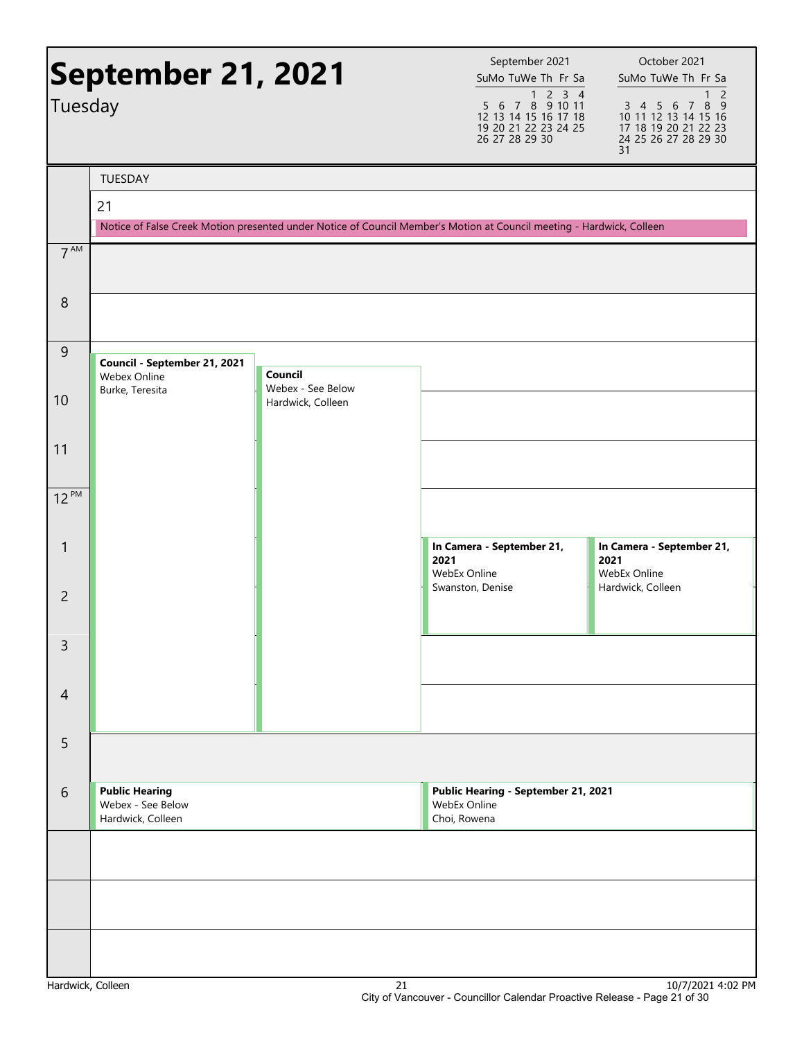| Tuesday         | <b>September 21, 2021</b>                                       |                              | September 2021<br>SuMo TuWe Th Fr Sa<br>$\begin{array}{@{}c@{\hspace{1em}}c@{\hspace{1em}}c@{\hspace{1em}}c@{\hspace{1em}}c@{\hspace{1em}}c@{\hspace{1em}}c@{\hspace{1em}}c@{\hspace{1em}}c@{\hspace{1em}}c@{\hspace{1em}}c@{\hspace{1em}}c@{\hspace{1em}}c@{\hspace{1em}}c@{\hspace{1em}}c@{\hspace{1em}}c@{\hspace{1em}}c@{\hspace{1em}}c@{\hspace{1em}}c@{\hspace{1em}}c@{\hspace{1em}}c@{\hspace{1em}}c@{\hspace{1em}}c@{\hspace{1em}}c@{\hspace{$<br>12 13 14 15 16 17 18<br>19 20 21 22 23 24 25 | October 2021<br>SuMo TuWe Th Fr Sa<br>$\overline{2}$<br>1<br>8 9<br>3 4 5 6<br>$\overline{7}$<br>10 11 12 13 14 15 16<br>17 18 19 20 21 22 23 |
|-----------------|-----------------------------------------------------------------|------------------------------|--------------------------------------------------------------------------------------------------------------------------------------------------------------------------------------------------------------------------------------------------------------------------------------------------------------------------------------------------------------------------------------------------------------------------------------------------------------------------------------------------------|-----------------------------------------------------------------------------------------------------------------------------------------------|
|                 |                                                                 |                              | 26 27 28 29 30                                                                                                                                                                                                                                                                                                                                                                                                                                                                                         | 24 25 26 27 28 29 30<br>31                                                                                                                    |
|                 | TUESDAY                                                         |                              |                                                                                                                                                                                                                                                                                                                                                                                                                                                                                                        |                                                                                                                                               |
|                 | 21                                                              |                              |                                                                                                                                                                                                                                                                                                                                                                                                                                                                                                        |                                                                                                                                               |
|                 |                                                                 |                              | Notice of False Creek Motion presented under Notice of Council Member's Motion at Council meeting - Hardwick, Colleen                                                                                                                                                                                                                                                                                                                                                                                  |                                                                                                                                               |
| 7 <sup>AM</sup> |                                                                 |                              |                                                                                                                                                                                                                                                                                                                                                                                                                                                                                                        |                                                                                                                                               |
| 8               |                                                                 |                              |                                                                                                                                                                                                                                                                                                                                                                                                                                                                                                        |                                                                                                                                               |
| $\overline{9}$  | Council - September 21, 2021<br>Webex Online                    | Council<br>Webex - See Below |                                                                                                                                                                                                                                                                                                                                                                                                                                                                                                        |                                                                                                                                               |
| 10              | Burke, Teresita                                                 | Hardwick, Colleen            |                                                                                                                                                                                                                                                                                                                                                                                                                                                                                                        |                                                                                                                                               |
| 11              |                                                                 |                              |                                                                                                                                                                                                                                                                                                                                                                                                                                                                                                        |                                                                                                                                               |
| $12^{PM}$       |                                                                 |                              |                                                                                                                                                                                                                                                                                                                                                                                                                                                                                                        |                                                                                                                                               |
| 1               |                                                                 |                              | In Camera - September 21,<br>2021<br>WebEx Online                                                                                                                                                                                                                                                                                                                                                                                                                                                      | In Camera - September 21,<br>2021<br>WebEx Online                                                                                             |
| $\overline{2}$  |                                                                 |                              | Swanston, Denise                                                                                                                                                                                                                                                                                                                                                                                                                                                                                       | Hardwick, Colleen                                                                                                                             |
| 3               |                                                                 |                              |                                                                                                                                                                                                                                                                                                                                                                                                                                                                                                        |                                                                                                                                               |
| $\overline{4}$  |                                                                 |                              |                                                                                                                                                                                                                                                                                                                                                                                                                                                                                                        |                                                                                                                                               |
| 5               |                                                                 |                              |                                                                                                                                                                                                                                                                                                                                                                                                                                                                                                        |                                                                                                                                               |
| 6               | <b>Public Hearing</b><br>Webex - See Below<br>Hardwick, Colleen |                              | Public Hearing - September 21, 2021<br>WebEx Online<br>Choi, Rowena                                                                                                                                                                                                                                                                                                                                                                                                                                    |                                                                                                                                               |
|                 |                                                                 |                              |                                                                                                                                                                                                                                                                                                                                                                                                                                                                                                        |                                                                                                                                               |
|                 |                                                                 |                              |                                                                                                                                                                                                                                                                                                                                                                                                                                                                                                        |                                                                                                                                               |
|                 |                                                                 |                              |                                                                                                                                                                                                                                                                                                                                                                                                                                                                                                        |                                                                                                                                               |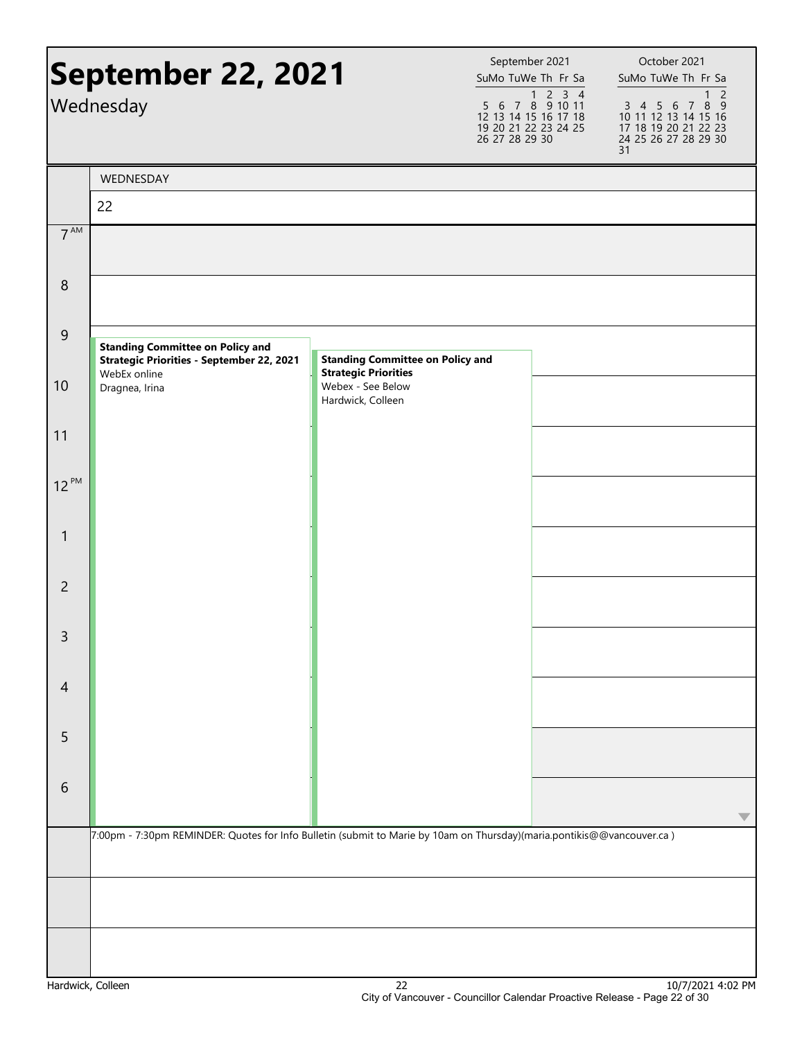|                  | September 22, 2021<br>Wednesday                                                                                        |                                                                        | September 2021<br>SuMo TuWe Th Fr Sa<br>$\begin{array}{@{}c@{\hspace{1em}}c@{\hspace{1em}}c@{\hspace{1em}}c@{\hspace{1em}}c@{\hspace{1em}}c@{\hspace{1em}}c@{\hspace{1em}}c@{\hspace{1em}}c@{\hspace{1em}}c@{\hspace{1em}}c@{\hspace{1em}}c@{\hspace{1em}}c@{\hspace{1em}}c@{\hspace{1em}}c@{\hspace{1em}}c@{\hspace{1em}}c@{\hspace{1em}}c@{\hspace{1em}}c@{\hspace{1em}}c@{\hspace{1em}}c@{\hspace{1em}}c@{\hspace{1em}}c@{\hspace{1em}}c@{\hspace{$<br>12 13 14 15 16 17 18<br>19 20 21 22 23 24 25<br>26 27 28 29 30 | October 2021<br>SuMo TuWe Th Fr Sa<br>$\overline{2}$<br>1<br>3 4 5 6 7 8 9<br>10 11 12 13 14 15 16<br>17 18 19 20 21 22 23<br>24 25 26 27 28 29 30<br>31 |
|------------------|------------------------------------------------------------------------------------------------------------------------|------------------------------------------------------------------------|--------------------------------------------------------------------------------------------------------------------------------------------------------------------------------------------------------------------------------------------------------------------------------------------------------------------------------------------------------------------------------------------------------------------------------------------------------------------------------------------------------------------------|----------------------------------------------------------------------------------------------------------------------------------------------------------|
|                  | WEDNESDAY<br>22                                                                                                        |                                                                        |                                                                                                                                                                                                                                                                                                                                                                                                                                                                                                                          |                                                                                                                                                          |
| 7 <sup>AM</sup>  |                                                                                                                        |                                                                        |                                                                                                                                                                                                                                                                                                                                                                                                                                                                                                                          |                                                                                                                                                          |
|                  |                                                                                                                        |                                                                        |                                                                                                                                                                                                                                                                                                                                                                                                                                                                                                                          |                                                                                                                                                          |
| $\boldsymbol{8}$ |                                                                                                                        |                                                                        |                                                                                                                                                                                                                                                                                                                                                                                                                                                                                                                          |                                                                                                                                                          |
| $9\,$            | <b>Standing Committee on Policy and</b><br><b>Strategic Priorities - September 22, 2021</b><br>WebEx online            | <b>Standing Committee on Policy and</b><br><b>Strategic Priorities</b> |                                                                                                                                                                                                                                                                                                                                                                                                                                                                                                                          |                                                                                                                                                          |
| 10               | Dragnea, Irina                                                                                                         | Webex - See Below<br>Hardwick, Colleen                                 |                                                                                                                                                                                                                                                                                                                                                                                                                                                                                                                          |                                                                                                                                                          |
| 11               |                                                                                                                        |                                                                        |                                                                                                                                                                                                                                                                                                                                                                                                                                                                                                                          |                                                                                                                                                          |
| $12^{PM}$        |                                                                                                                        |                                                                        |                                                                                                                                                                                                                                                                                                                                                                                                                                                                                                                          |                                                                                                                                                          |
| $\mathbf{1}$     |                                                                                                                        |                                                                        |                                                                                                                                                                                                                                                                                                                                                                                                                                                                                                                          |                                                                                                                                                          |
| $\overline{2}$   |                                                                                                                        |                                                                        |                                                                                                                                                                                                                                                                                                                                                                                                                                                                                                                          |                                                                                                                                                          |
| 3                |                                                                                                                        |                                                                        |                                                                                                                                                                                                                                                                                                                                                                                                                                                                                                                          |                                                                                                                                                          |
| $\overline{4}$   |                                                                                                                        |                                                                        |                                                                                                                                                                                                                                                                                                                                                                                                                                                                                                                          |                                                                                                                                                          |
| 5                |                                                                                                                        |                                                                        |                                                                                                                                                                                                                                                                                                                                                                                                                                                                                                                          |                                                                                                                                                          |
| 6                |                                                                                                                        |                                                                        |                                                                                                                                                                                                                                                                                                                                                                                                                                                                                                                          |                                                                                                                                                          |
|                  | 7:00pm - 7:30pm REMINDER: Quotes for Info Bulletin (submit to Marie by 10am on Thursday)(maria.pontikis@@vancouver.ca) |                                                                        |                                                                                                                                                                                                                                                                                                                                                                                                                                                                                                                          |                                                                                                                                                          |
|                  |                                                                                                                        |                                                                        |                                                                                                                                                                                                                                                                                                                                                                                                                                                                                                                          |                                                                                                                                                          |
|                  |                                                                                                                        |                                                                        |                                                                                                                                                                                                                                                                                                                                                                                                                                                                                                                          |                                                                                                                                                          |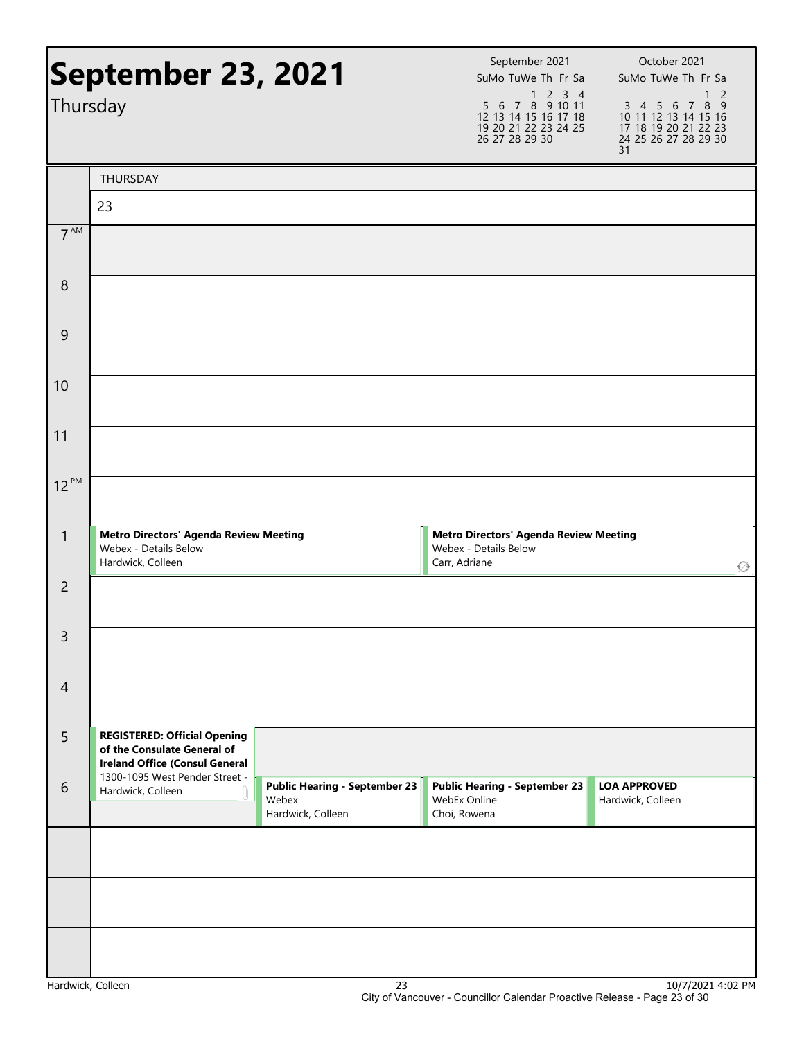| Thursday          | September 23, 2021                                                                                          |                                                                    | September 2021<br>SuMo TuWe Th Fr Sa<br>$\begin{array}{@{}c@{\hspace{1em}}c@{\hspace{1em}}c@{\hspace{1em}}c@{\hspace{1em}}c@{\hspace{1em}}c@{\hspace{1em}}c@{\hspace{1em}}c@{\hspace{1em}}c@{\hspace{1em}}c@{\hspace{1em}}c@{\hspace{1em}}c@{\hspace{1em}}c@{\hspace{1em}}c@{\hspace{1em}}c@{\hspace{1em}}c@{\hspace{1em}}c@{\hspace{1em}}c@{\hspace{1em}}c@{\hspace{1em}}c@{\hspace{1em}}c@{\hspace{1em}}c@{\hspace{1em}}c@{\hspace{1em}}c@{\hspace{$<br>12 13 14 15 16 17 18<br>19 20 21 22 23 24 25<br>26 27 28 29 30 | October 2021<br>SuMo TuWe Th Fr Sa<br>1 <sub>2</sub><br>3 4 5 6 7 8 9<br>10 11 12 13 14 15 16<br>17 18 19 20 21 22 23<br>24 25 26 27 28 29 30<br>31 |
|-------------------|-------------------------------------------------------------------------------------------------------------|--------------------------------------------------------------------|--------------------------------------------------------------------------------------------------------------------------------------------------------------------------------------------------------------------------------------------------------------------------------------------------------------------------------------------------------------------------------------------------------------------------------------------------------------------------------------------------------------------------|-----------------------------------------------------------------------------------------------------------------------------------------------------|
|                   | <b>THURSDAY</b>                                                                                             |                                                                    |                                                                                                                                                                                                                                                                                                                                                                                                                                                                                                                          |                                                                                                                                                     |
|                   | 23                                                                                                          |                                                                    |                                                                                                                                                                                                                                                                                                                                                                                                                                                                                                                          |                                                                                                                                                     |
| 7 <sup>AM</sup>   |                                                                                                             |                                                                    |                                                                                                                                                                                                                                                                                                                                                                                                                                                                                                                          |                                                                                                                                                     |
| 8                 |                                                                                                             |                                                                    |                                                                                                                                                                                                                                                                                                                                                                                                                                                                                                                          |                                                                                                                                                     |
| 9                 |                                                                                                             |                                                                    |                                                                                                                                                                                                                                                                                                                                                                                                                                                                                                                          |                                                                                                                                                     |
| 10                |                                                                                                             |                                                                    |                                                                                                                                                                                                                                                                                                                                                                                                                                                                                                                          |                                                                                                                                                     |
| 11                |                                                                                                             |                                                                    |                                                                                                                                                                                                                                                                                                                                                                                                                                                                                                                          |                                                                                                                                                     |
| $12^{PM}$         |                                                                                                             |                                                                    |                                                                                                                                                                                                                                                                                                                                                                                                                                                                                                                          |                                                                                                                                                     |
| $\mathbf{1}$      | <b>Metro Directors' Agenda Review Meeting</b><br>Webex - Details Below<br>Hardwick, Colleen                 |                                                                    | <b>Metro Directors' Agenda Review Meeting</b><br>Webex - Details Below<br>Carr, Adriane                                                                                                                                                                                                                                                                                                                                                                                                                                  | ۞                                                                                                                                                   |
| $\overline{c}$    |                                                                                                             |                                                                    |                                                                                                                                                                                                                                                                                                                                                                                                                                                                                                                          |                                                                                                                                                     |
| 3                 |                                                                                                             |                                                                    |                                                                                                                                                                                                                                                                                                                                                                                                                                                                                                                          |                                                                                                                                                     |
| $\overline{4}$    |                                                                                                             |                                                                    |                                                                                                                                                                                                                                                                                                                                                                                                                                                                                                                          |                                                                                                                                                     |
| 5                 | <b>REGISTERED: Official Opening</b><br>of the Consulate General of<br><b>Ireland Office (Consul General</b> |                                                                    |                                                                                                                                                                                                                                                                                                                                                                                                                                                                                                                          |                                                                                                                                                     |
| 6                 | 1300-1095 West Pender Street -<br>Hardwick, Colleen                                                         | <b>Public Hearing - September 23</b><br>Webex<br>Hardwick, Colleen | <b>Public Hearing - September 23</b><br>WebEx Online<br>Choi, Rowena                                                                                                                                                                                                                                                                                                                                                                                                                                                     | <b>LOA APPROVED</b><br>Hardwick, Colleen                                                                                                            |
|                   |                                                                                                             |                                                                    |                                                                                                                                                                                                                                                                                                                                                                                                                                                                                                                          |                                                                                                                                                     |
|                   |                                                                                                             |                                                                    |                                                                                                                                                                                                                                                                                                                                                                                                                                                                                                                          |                                                                                                                                                     |
|                   |                                                                                                             |                                                                    |                                                                                                                                                                                                                                                                                                                                                                                                                                                                                                                          |                                                                                                                                                     |
| Hardwick, Colleen |                                                                                                             | 23                                                                 |                                                                                                                                                                                                                                                                                                                                                                                                                                                                                                                          | 10/7/2021 4:02 PM                                                                                                                                   |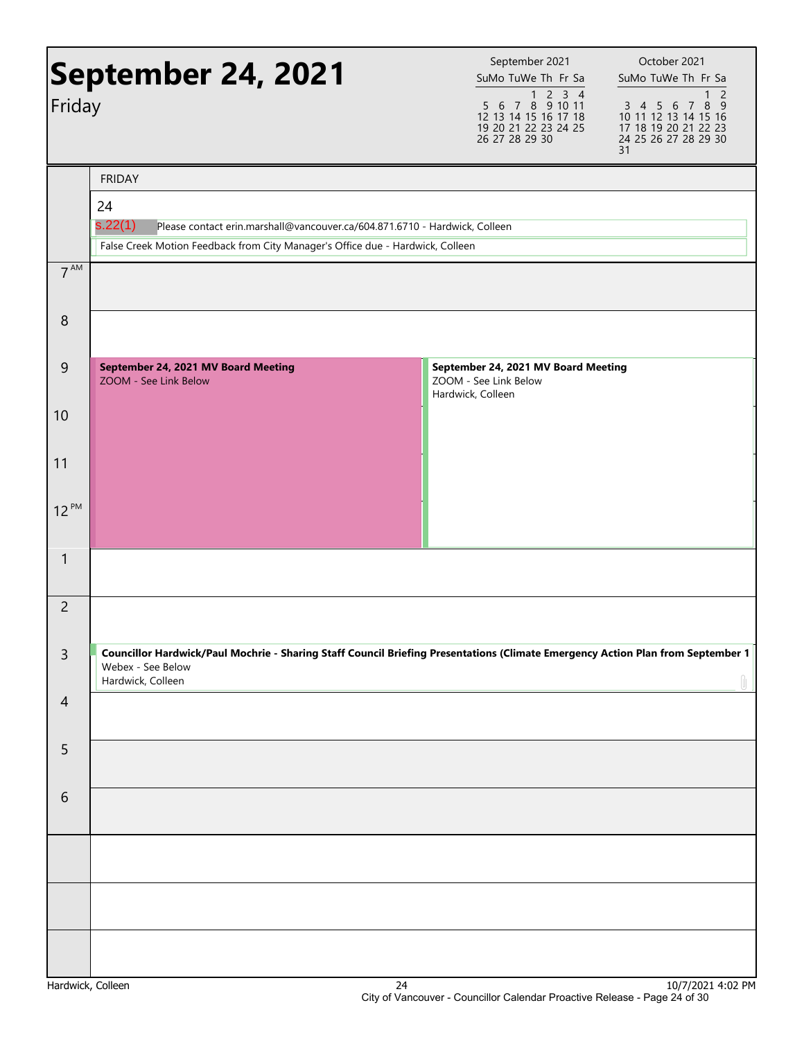| Friday         | <b>September 24, 2021</b>                                                                                                                                               | September 2021<br>October 2021<br>SuMo TuWe Th Fr Sa<br>SuMo TuWe Th Fr Sa<br>$\begin{array}{@{}c@{\hspace{1em}}c@{\hspace{1em}}c@{\hspace{1em}}c@{\hspace{1em}}c@{\hspace{1em}}c@{\hspace{1em}}c@{\hspace{1em}}c@{\hspace{1em}}c@{\hspace{1em}}c@{\hspace{1em}}c@{\hspace{1em}}c@{\hspace{1em}}c@{\hspace{1em}}c@{\hspace{1em}}c@{\hspace{1em}}c@{\hspace{1em}}c@{\hspace{1em}}c@{\hspace{1em}}c@{\hspace{1em}}c@{\hspace{1em}}c@{\hspace{1em}}c@{\hspace{1em}}c@{\hspace{1em}}c@{\hspace{$<br>$\overline{2}$<br>3 4 5 6 7 8 9 |
|----------------|-------------------------------------------------------------------------------------------------------------------------------------------------------------------------|---------------------------------------------------------------------------------------------------------------------------------------------------------------------------------------------------------------------------------------------------------------------------------------------------------------------------------------------------------------------------------------------------------------------------------------------------------------------------------------------------------------------------------|
|                |                                                                                                                                                                         | 12 13 14 15 16 17 18<br>10 11 12 13 14 15 16<br>19 20 21 22 23 24 25<br>17 18 19 20 21 22 23<br>26 27 28 29 30<br>24 25 26 27 28 29 30<br>31                                                                                                                                                                                                                                                                                                                                                                                    |
|                | <b>FRIDAY</b><br>24                                                                                                                                                     |                                                                                                                                                                                                                                                                                                                                                                                                                                                                                                                                 |
|                | s.22(1)<br>Please contact erin.marshall@vancouver.ca/604.871.6710 - Hardwick, Colleen<br>False Creek Motion Feedback from City Manager's Office due - Hardwick, Colleen |                                                                                                                                                                                                                                                                                                                                                                                                                                                                                                                                 |
| $7^{AM}$       |                                                                                                                                                                         |                                                                                                                                                                                                                                                                                                                                                                                                                                                                                                                                 |
| 8              |                                                                                                                                                                         |                                                                                                                                                                                                                                                                                                                                                                                                                                                                                                                                 |
| 9              | September 24, 2021 MV Board Meeting<br>ZOOM - See Link Below                                                                                                            | September 24, 2021 MV Board Meeting<br>ZOOM - See Link Below<br>Hardwick, Colleen                                                                                                                                                                                                                                                                                                                                                                                                                                               |
| 10             |                                                                                                                                                                         |                                                                                                                                                                                                                                                                                                                                                                                                                                                                                                                                 |
| 11             |                                                                                                                                                                         |                                                                                                                                                                                                                                                                                                                                                                                                                                                                                                                                 |
| $12^{PM}$      |                                                                                                                                                                         |                                                                                                                                                                                                                                                                                                                                                                                                                                                                                                                                 |
| $\mathbf{1}$   |                                                                                                                                                                         |                                                                                                                                                                                                                                                                                                                                                                                                                                                                                                                                 |
| $\overline{c}$ |                                                                                                                                                                         |                                                                                                                                                                                                                                                                                                                                                                                                                                                                                                                                 |
| $\mathsf{3}$   | Webex - See Below<br>Hardwick, Colleen                                                                                                                                  | Councillor Hardwick/Paul Mochrie - Sharing Staff Council Briefing Presentations (Climate Emergency Action Plan from September 1<br>Ĥ.                                                                                                                                                                                                                                                                                                                                                                                           |
| $\overline{4}$ |                                                                                                                                                                         |                                                                                                                                                                                                                                                                                                                                                                                                                                                                                                                                 |
| 5              |                                                                                                                                                                         |                                                                                                                                                                                                                                                                                                                                                                                                                                                                                                                                 |
| 6              |                                                                                                                                                                         |                                                                                                                                                                                                                                                                                                                                                                                                                                                                                                                                 |
|                |                                                                                                                                                                         |                                                                                                                                                                                                                                                                                                                                                                                                                                                                                                                                 |
|                |                                                                                                                                                                         |                                                                                                                                                                                                                                                                                                                                                                                                                                                                                                                                 |
|                |                                                                                                                                                                         |                                                                                                                                                                                                                                                                                                                                                                                                                                                                                                                                 |
|                |                                                                                                                                                                         |                                                                                                                                                                                                                                                                                                                                                                                                                                                                                                                                 |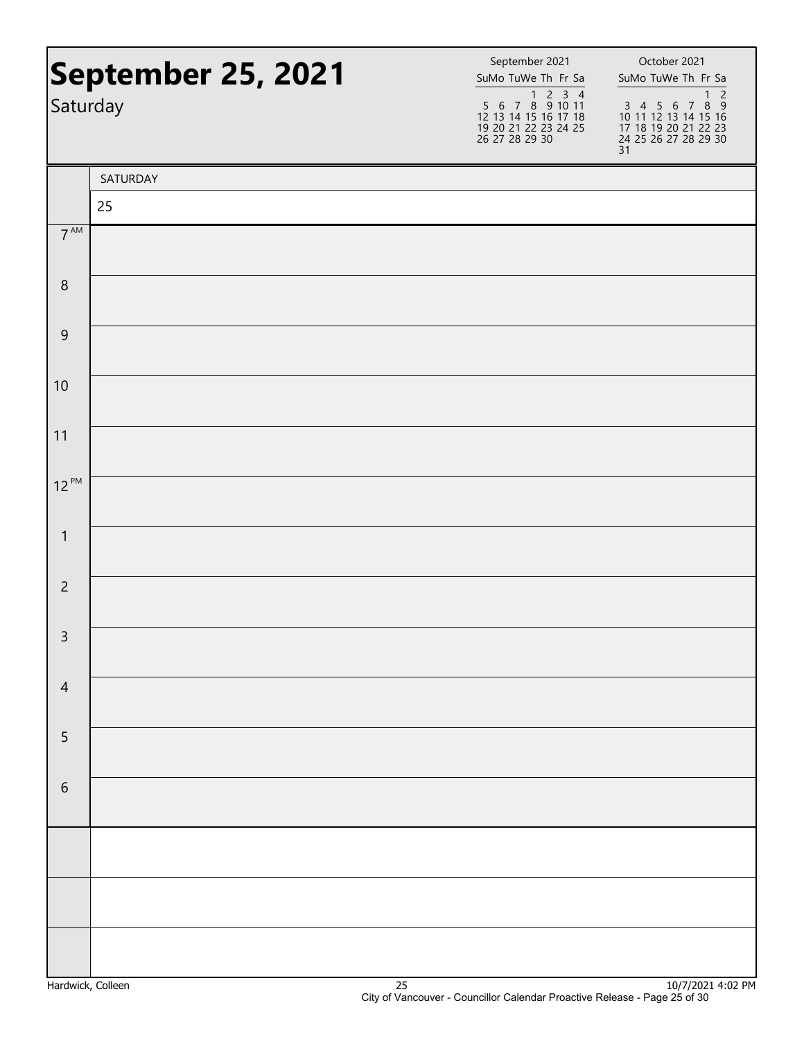| September 25, 2021<br>Saturday |          | September 2021<br>SuMo TuWe Th Fr Sa<br>1 2 3 4<br>5 6 7 8 9 10 11<br>12 13 14 15 16 17 18<br>19 20 21 22 23 24 25<br>26 27 28 29 30 | October 2021<br>SuMo TuWe Th Fr Sa<br>$\overline{c}$<br>$\mathbf{1}$<br>$3\ 4\ 5\ 6\ 7\ 8\ 9$<br>10 11 12 13 14 15 16<br>17 18 19 20 21 22 23<br>24 25 26 27 28 29 30<br>31 |
|--------------------------------|----------|--------------------------------------------------------------------------------------------------------------------------------------|-----------------------------------------------------------------------------------------------------------------------------------------------------------------------------|
|                                | SATURDAY |                                                                                                                                      |                                                                                                                                                                             |
|                                | 25       |                                                                                                                                      |                                                                                                                                                                             |
| 7 <sup>AM</sup>                |          |                                                                                                                                      |                                                                                                                                                                             |
| $\,8\,$                        |          |                                                                                                                                      |                                                                                                                                                                             |
| $\mathsf 9$                    |          |                                                                                                                                      |                                                                                                                                                                             |
| 10                             |          |                                                                                                                                      |                                                                                                                                                                             |
| 11                             |          |                                                                                                                                      |                                                                                                                                                                             |
| $12^{PM}$                      |          |                                                                                                                                      |                                                                                                                                                                             |
| $\mathbf{1}$                   |          |                                                                                                                                      |                                                                                                                                                                             |
| $\overline{2}$                 |          |                                                                                                                                      |                                                                                                                                                                             |
| $\mathbf{R}$                   |          |                                                                                                                                      |                                                                                                                                                                             |
| $\overline{4}$                 |          |                                                                                                                                      |                                                                                                                                                                             |
| 5                              |          |                                                                                                                                      |                                                                                                                                                                             |
| $\,$ 6 $\,$                    |          |                                                                                                                                      |                                                                                                                                                                             |
|                                |          |                                                                                                                                      |                                                                                                                                                                             |
|                                |          |                                                                                                                                      |                                                                                                                                                                             |
|                                |          |                                                                                                                                      |                                                                                                                                                                             |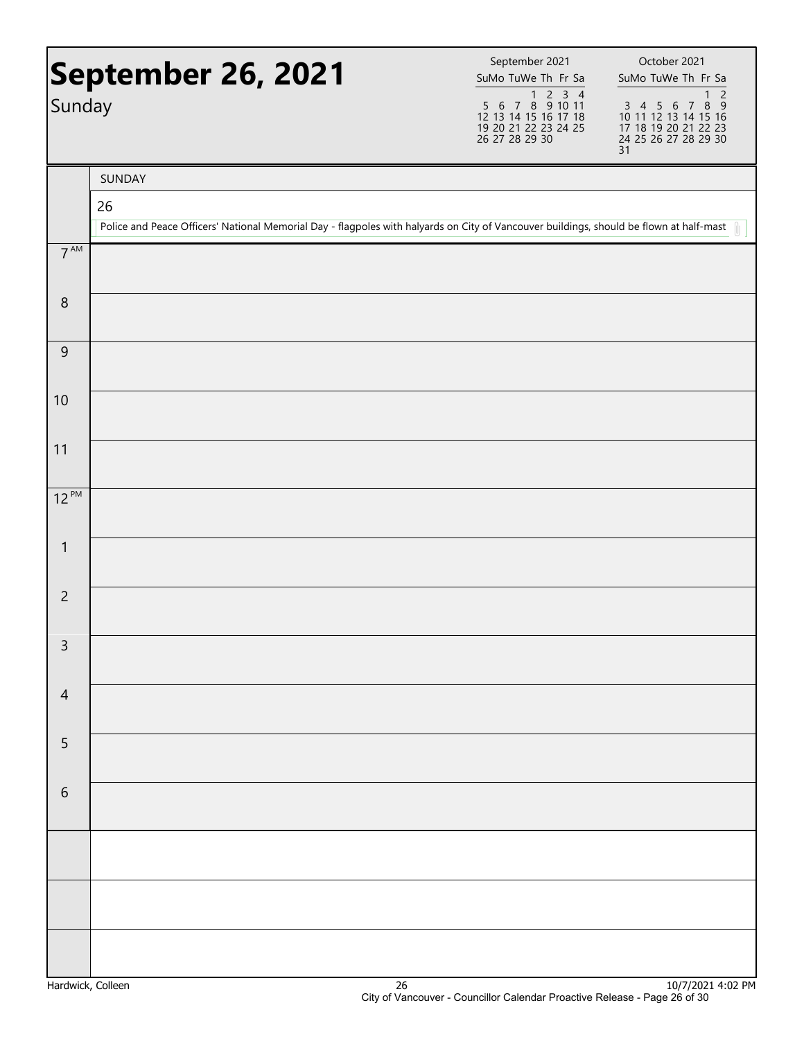| September 26, 2021 |                                                                                                                                         | September 2021<br>SuMo TuWe Th Fr Sa                                                                                                                                                                                                                                                                                                                                                                                                                                             | October 2021<br>SuMo TuWe Th Fr Sa                                                                                 |
|--------------------|-----------------------------------------------------------------------------------------------------------------------------------------|----------------------------------------------------------------------------------------------------------------------------------------------------------------------------------------------------------------------------------------------------------------------------------------------------------------------------------------------------------------------------------------------------------------------------------------------------------------------------------|--------------------------------------------------------------------------------------------------------------------|
| Sunday             |                                                                                                                                         | $\begin{array}{@{}c@{\hspace{1em}}c@{\hspace{1em}}c@{\hspace{1em}}c@{\hspace{1em}}c@{\hspace{1em}}c@{\hspace{1em}}c@{\hspace{1em}}c@{\hspace{1em}}c@{\hspace{1em}}c@{\hspace{1em}}c@{\hspace{1em}}c@{\hspace{1em}}c@{\hspace{1em}}c@{\hspace{1em}}c@{\hspace{1em}}c@{\hspace{1em}}c@{\hspace{1em}}c@{\hspace{1em}}c@{\hspace{1em}}c@{\hspace{1em}}c@{\hspace{1em}}c@{\hspace{1em}}c@{\hspace{1em}}c@{\hspace{$<br>12 13 14 15 16 17 18<br>19 20 21 22 23 24 25<br>26 27 28 29 30 | $\overline{c}$<br>1<br>3 4 5 6 7 8 9<br>10 11 12 13 14 15 16<br>17 18 19 20 21 22 23<br>24 25 26 27 28 29 30<br>31 |
|                    | SUNDAY                                                                                                                                  |                                                                                                                                                                                                                                                                                                                                                                                                                                                                                  |                                                                                                                    |
|                    | 26                                                                                                                                      |                                                                                                                                                                                                                                                                                                                                                                                                                                                                                  |                                                                                                                    |
|                    | Police and Peace Officers' National Memorial Day - flagpoles with halyards on City of Vancouver buildings, should be flown at half-mast |                                                                                                                                                                                                                                                                                                                                                                                                                                                                                  |                                                                                                                    |
| $7^{\text{AM}}$    |                                                                                                                                         |                                                                                                                                                                                                                                                                                                                                                                                                                                                                                  |                                                                                                                    |
| $\,8\,$            |                                                                                                                                         |                                                                                                                                                                                                                                                                                                                                                                                                                                                                                  |                                                                                                                    |
| 9                  |                                                                                                                                         |                                                                                                                                                                                                                                                                                                                                                                                                                                                                                  |                                                                                                                    |
| 10                 |                                                                                                                                         |                                                                                                                                                                                                                                                                                                                                                                                                                                                                                  |                                                                                                                    |
| 11                 |                                                                                                                                         |                                                                                                                                                                                                                                                                                                                                                                                                                                                                                  |                                                                                                                    |
| $12^{PM}$          |                                                                                                                                         |                                                                                                                                                                                                                                                                                                                                                                                                                                                                                  |                                                                                                                    |
| $\mathbf{1}$       |                                                                                                                                         |                                                                                                                                                                                                                                                                                                                                                                                                                                                                                  |                                                                                                                    |
| $\overline{c}$     |                                                                                                                                         |                                                                                                                                                                                                                                                                                                                                                                                                                                                                                  |                                                                                                                    |
| 3                  |                                                                                                                                         |                                                                                                                                                                                                                                                                                                                                                                                                                                                                                  |                                                                                                                    |
| $\overline{4}$     |                                                                                                                                         |                                                                                                                                                                                                                                                                                                                                                                                                                                                                                  |                                                                                                                    |
| 5                  |                                                                                                                                         |                                                                                                                                                                                                                                                                                                                                                                                                                                                                                  |                                                                                                                    |
| $\sqrt{6}$         |                                                                                                                                         |                                                                                                                                                                                                                                                                                                                                                                                                                                                                                  |                                                                                                                    |
|                    |                                                                                                                                         |                                                                                                                                                                                                                                                                                                                                                                                                                                                                                  |                                                                                                                    |
|                    |                                                                                                                                         |                                                                                                                                                                                                                                                                                                                                                                                                                                                                                  |                                                                                                                    |
|                    |                                                                                                                                         |                                                                                                                                                                                                                                                                                                                                                                                                                                                                                  |                                                                                                                    |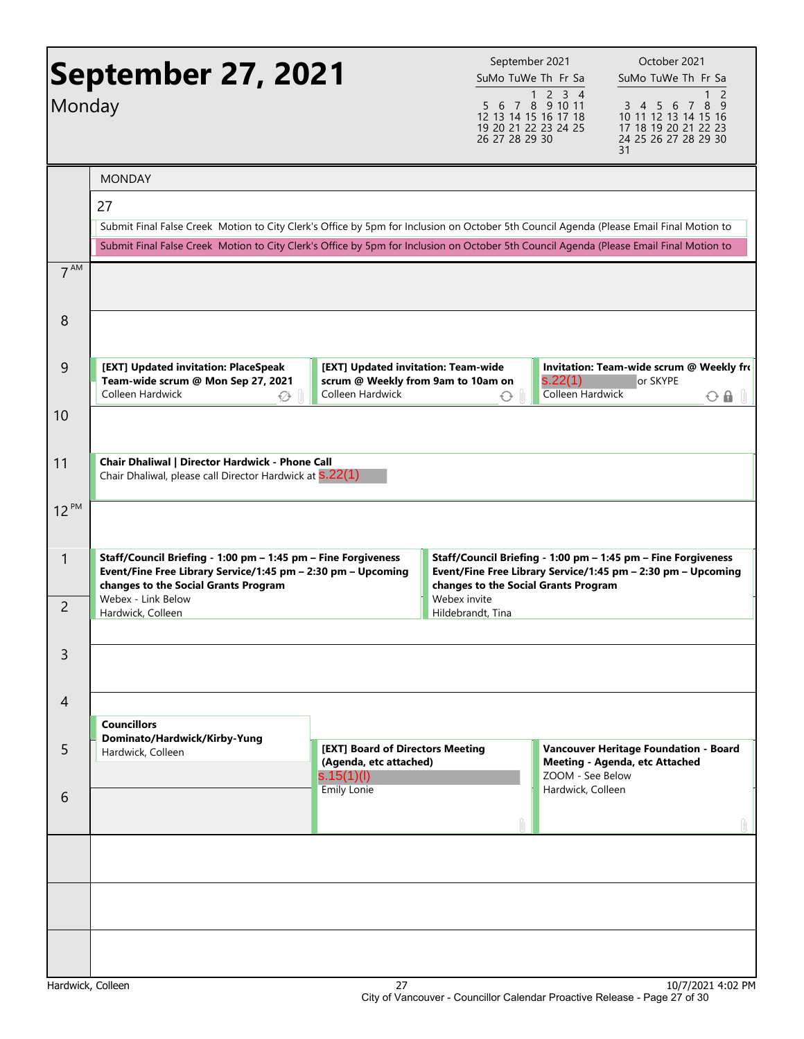| Monday                         | <b>September 27, 2021</b><br><b>MONDAY</b><br>27<br>Submit Final False Creek Motion to City Clerk's Office by 5pm for Inclusion on October 5th Council Agenda (Please Email Final Motion to<br>Submit Final False Creek Motion to City Clerk's Office by 5pm for Inclusion on October 5th Council Agenda (Please Email Final Motion to |                                                                          | September 2021<br>SuMo TuWe Th Fr Sa<br>26 27 28 29 30                                  | $1 2 3 4$<br>5 6 7 8 9 10 11<br>12 13 14 15 16 17 18<br>19 20 21 22 23 24 25 | October 2021<br>SuMo TuWe Th Fr Sa<br>2<br>3 4 5 6 7<br>8<br>- 9<br>10 11 12 13 14 15 16<br>17 18 19 20 21 22 23<br>24 25 26 27 28 29 30<br>31 |  |
|--------------------------------|----------------------------------------------------------------------------------------------------------------------------------------------------------------------------------------------------------------------------------------------------------------------------------------------------------------------------------------|--------------------------------------------------------------------------|-----------------------------------------------------------------------------------------|------------------------------------------------------------------------------|------------------------------------------------------------------------------------------------------------------------------------------------|--|
| 7 <sup>AM</sup>                |                                                                                                                                                                                                                                                                                                                                        |                                                                          |                                                                                         |                                                                              |                                                                                                                                                |  |
| 8                              |                                                                                                                                                                                                                                                                                                                                        |                                                                          |                                                                                         |                                                                              |                                                                                                                                                |  |
| 9                              | [EXT] Updated invitation: PlaceSpeak<br>Team-wide scrum @ Mon Sep 27, 2021<br>Colleen Hardwick<br>ឃុ                                                                                                                                                                                                                                   | Colleen Hardwick                                                         | [EXT] Updated invitation: Team-wide<br>scrum @ Weekly from 9am to 10am on<br>$\bigcirc$ |                                                                              | Invitation: Team-wide scrum @ Weekly fro<br>s.22(1)<br>or SKYPE<br>Colleen Hardwick<br>$\odot$ a $\parallel$                                   |  |
| 10                             |                                                                                                                                                                                                                                                                                                                                        |                                                                          |                                                                                         |                                                                              |                                                                                                                                                |  |
| 11                             | Chair Dhaliwal   Director Hardwick - Phone Call<br>Chair Dhaliwal, please call Director Hardwick at S.22(1)                                                                                                                                                                                                                            |                                                                          |                                                                                         |                                                                              |                                                                                                                                                |  |
| $12^{PM}$                      |                                                                                                                                                                                                                                                                                                                                        |                                                                          |                                                                                         |                                                                              |                                                                                                                                                |  |
| $\mathbf{1}$<br>$\overline{2}$ | Staff/Council Briefing - 1:00 pm - 1:45 pm - Fine Forgiveness<br>Event/Fine Free Library Service/1:45 pm - 2:30 pm - Upcoming<br>changes to the Social Grants Program<br>Webex - Link Below                                                                                                                                            |                                                                          | changes to the Social Grants Program<br>Webex invite<br>Hildebrandt, Tina               |                                                                              | Staff/Council Briefing - 1:00 pm - 1:45 pm - Fine Forgiveness<br>Event/Fine Free Library Service/1:45 pm - 2:30 pm - Upcoming                  |  |
|                                | Hardwick, Colleen                                                                                                                                                                                                                                                                                                                      |                                                                          |                                                                                         |                                                                              |                                                                                                                                                |  |
| 3                              |                                                                                                                                                                                                                                                                                                                                        |                                                                          |                                                                                         |                                                                              |                                                                                                                                                |  |
| 4                              | <b>Councillors</b>                                                                                                                                                                                                                                                                                                                     |                                                                          |                                                                                         |                                                                              |                                                                                                                                                |  |
| 5                              | Dominato/Hardwick/Kirby-Yung<br>Hardwick, Colleen                                                                                                                                                                                                                                                                                      | [EXT] Board of Directors Meeting<br>(Agenda, etc attached)<br>s.15(1)(l) |                                                                                         | ZOOM - See Below                                                             | Vancouver Heritage Foundation - Board<br>Meeting - Agenda, etc Attached                                                                        |  |
| 6                              |                                                                                                                                                                                                                                                                                                                                        | <b>Emily Lonie</b>                                                       |                                                                                         | Hardwick, Colleen                                                            |                                                                                                                                                |  |
|                                |                                                                                                                                                                                                                                                                                                                                        |                                                                          |                                                                                         |                                                                              |                                                                                                                                                |  |
|                                |                                                                                                                                                                                                                                                                                                                                        |                                                                          |                                                                                         |                                                                              |                                                                                                                                                |  |
|                                |                                                                                                                                                                                                                                                                                                                                        |                                                                          |                                                                                         |                                                                              |                                                                                                                                                |  |
|                                | Hardwick, Colleen                                                                                                                                                                                                                                                                                                                      | 27                                                                       |                                                                                         |                                                                              | 10/7/2021 4:02 PM                                                                                                                              |  |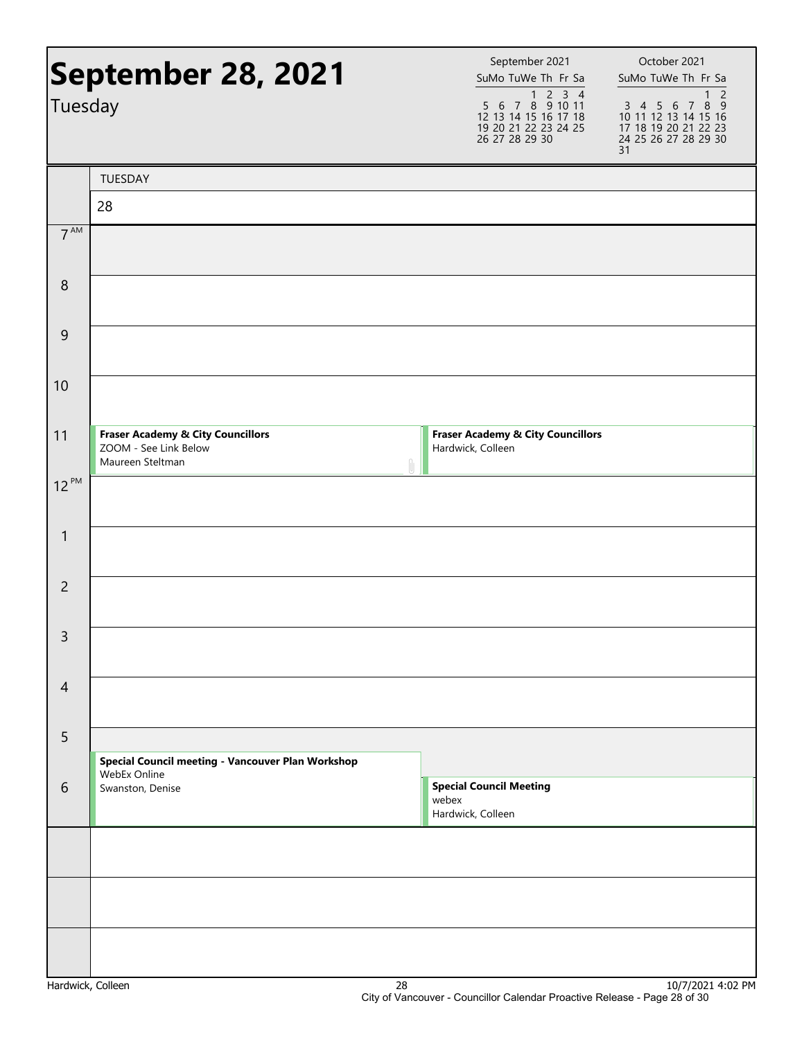| September 28, 2021 |                                                                                           | September 2021<br>SuMo TuWe Th Fr Sa                                                                                                                                                                                                                                                                                                                                                                                                                                             | October 2021<br>SuMo TuWe Th Fr Sa                                                                                 |
|--------------------|-------------------------------------------------------------------------------------------|----------------------------------------------------------------------------------------------------------------------------------------------------------------------------------------------------------------------------------------------------------------------------------------------------------------------------------------------------------------------------------------------------------------------------------------------------------------------------------|--------------------------------------------------------------------------------------------------------------------|
| Tuesday            |                                                                                           | $\begin{array}{@{}c@{\hspace{1em}}c@{\hspace{1em}}c@{\hspace{1em}}c@{\hspace{1em}}c@{\hspace{1em}}c@{\hspace{1em}}c@{\hspace{1em}}c@{\hspace{1em}}c@{\hspace{1em}}c@{\hspace{1em}}c@{\hspace{1em}}c@{\hspace{1em}}c@{\hspace{1em}}c@{\hspace{1em}}c@{\hspace{1em}}c@{\hspace{1em}}c@{\hspace{1em}}c@{\hspace{1em}}c@{\hspace{1em}}c@{\hspace{1em}}c@{\hspace{1em}}c@{\hspace{1em}}c@{\hspace{1em}}c@{\hspace{$<br>12 13 14 15 16 17 18<br>19 20 21 22 23 24 25<br>26 27 28 29 30 | $\overline{c}$<br>1<br>3 4 5 6 7 8 9<br>10 11 12 13 14 15 16<br>17 18 19 20 21 22 23<br>24 25 26 27 28 29 30<br>31 |
|                    | TUESDAY                                                                                   |                                                                                                                                                                                                                                                                                                                                                                                                                                                                                  |                                                                                                                    |
|                    | 28                                                                                        |                                                                                                                                                                                                                                                                                                                                                                                                                                                                                  |                                                                                                                    |
| $7^{\text{AM}}$    |                                                                                           |                                                                                                                                                                                                                                                                                                                                                                                                                                                                                  |                                                                                                                    |
| 8                  |                                                                                           |                                                                                                                                                                                                                                                                                                                                                                                                                                                                                  |                                                                                                                    |
| 9                  |                                                                                           |                                                                                                                                                                                                                                                                                                                                                                                                                                                                                  |                                                                                                                    |
| 10                 |                                                                                           |                                                                                                                                                                                                                                                                                                                                                                                                                                                                                  |                                                                                                                    |
| 11                 | <b>Fraser Academy &amp; City Councillors</b><br>ZOOM - See Link Below<br>Maureen Steltman | <b>Fraser Academy &amp; City Councillors</b><br>Hardwick, Colleen                                                                                                                                                                                                                                                                                                                                                                                                                |                                                                                                                    |
| $12^{PM}$          |                                                                                           |                                                                                                                                                                                                                                                                                                                                                                                                                                                                                  |                                                                                                                    |
| $\mathbf{1}$       |                                                                                           |                                                                                                                                                                                                                                                                                                                                                                                                                                                                                  |                                                                                                                    |
| $\overline{2}$     |                                                                                           |                                                                                                                                                                                                                                                                                                                                                                                                                                                                                  |                                                                                                                    |
| 3                  |                                                                                           |                                                                                                                                                                                                                                                                                                                                                                                                                                                                                  |                                                                                                                    |
| 4                  |                                                                                           |                                                                                                                                                                                                                                                                                                                                                                                                                                                                                  |                                                                                                                    |
| 5                  | Special Council meeting - Vancouver Plan Workshop<br>WebEx Online                         |                                                                                                                                                                                                                                                                                                                                                                                                                                                                                  |                                                                                                                    |
| 6                  | Swanston, Denise                                                                          | <b>Special Council Meeting</b><br>webex<br>Hardwick, Colleen                                                                                                                                                                                                                                                                                                                                                                                                                     |                                                                                                                    |
|                    |                                                                                           |                                                                                                                                                                                                                                                                                                                                                                                                                                                                                  |                                                                                                                    |
|                    |                                                                                           |                                                                                                                                                                                                                                                                                                                                                                                                                                                                                  |                                                                                                                    |
| Hardwick Colloon   | 70                                                                                        |                                                                                                                                                                                                                                                                                                                                                                                                                                                                                  | 10/7/2021 $A \cdot 02$ DM                                                                                          |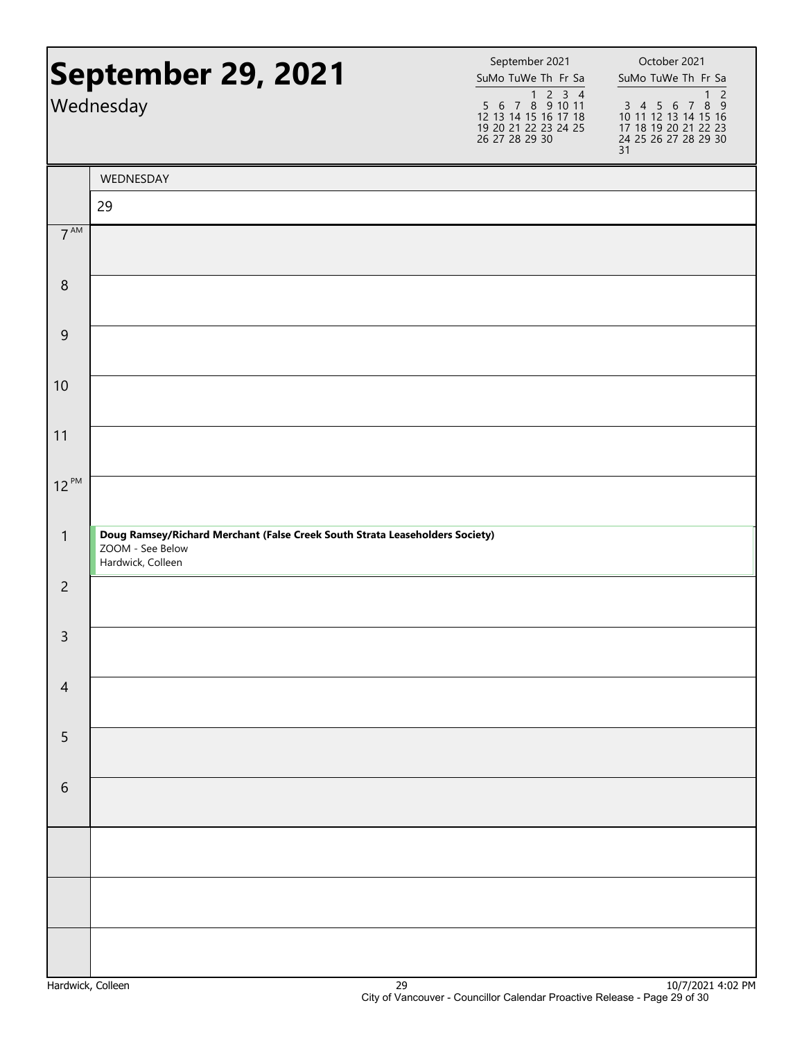|                  | September 29, 2021<br>Wednesday                                                                                       | September 2021<br>SuMo TuWe Th Fr Sa<br>$\begin{array}{@{}c@{\hspace{1em}}c@{\hspace{1em}}c@{\hspace{1em}}c@{\hspace{1em}}c@{\hspace{1em}}c@{\hspace{1em}}c@{\hspace{1em}}c@{\hspace{1em}}c@{\hspace{1em}}c@{\hspace{1em}}c@{\hspace{1em}}c@{\hspace{1em}}c@{\hspace{1em}}c@{\hspace{1em}}c@{\hspace{1em}}c@{\hspace{1em}}c@{\hspace{1em}}c@{\hspace{1em}}c@{\hspace{1em}}c@{\hspace{1em}}c@{\hspace{1em}}c@{\hspace{1em}}c@{\hspace{1em}}c@{\hspace{$<br>12 13 14 15 16 17 18<br>19 20 21 22 23 24 25<br>26 27 28 29 30 | October 2021<br>SuMo TuWe Th Fr Sa<br>$\overline{c}$<br>1<br>3 4 5 6 7 8 9<br>10 11 12 13 14 15 16<br>17 18 19 20 21 22 23<br>24 25 26 27 28 29 30<br>31 |
|------------------|-----------------------------------------------------------------------------------------------------------------------|--------------------------------------------------------------------------------------------------------------------------------------------------------------------------------------------------------------------------------------------------------------------------------------------------------------------------------------------------------------------------------------------------------------------------------------------------------------------------------------------------------------------------|----------------------------------------------------------------------------------------------------------------------------------------------------------|
|                  | WEDNESDAY                                                                                                             |                                                                                                                                                                                                                                                                                                                                                                                                                                                                                                                          |                                                                                                                                                          |
|                  | 29                                                                                                                    |                                                                                                                                                                                                                                                                                                                                                                                                                                                                                                                          |                                                                                                                                                          |
| 7 <sup>AM</sup>  |                                                                                                                       |                                                                                                                                                                                                                                                                                                                                                                                                                                                                                                                          |                                                                                                                                                          |
| $\boldsymbol{8}$ |                                                                                                                       |                                                                                                                                                                                                                                                                                                                                                                                                                                                                                                                          |                                                                                                                                                          |
| $\mathsf 9$      |                                                                                                                       |                                                                                                                                                                                                                                                                                                                                                                                                                                                                                                                          |                                                                                                                                                          |
| 10               |                                                                                                                       |                                                                                                                                                                                                                                                                                                                                                                                                                                                                                                                          |                                                                                                                                                          |
| 11               |                                                                                                                       |                                                                                                                                                                                                                                                                                                                                                                                                                                                                                                                          |                                                                                                                                                          |
| $12^{PM}$        |                                                                                                                       |                                                                                                                                                                                                                                                                                                                                                                                                                                                                                                                          |                                                                                                                                                          |
| $\mathbf{1}$     | Doug Ramsey/Richard Merchant (False Creek South Strata Leaseholders Society)<br>ZOOM - See Below<br>Hardwick, Colleen |                                                                                                                                                                                                                                                                                                                                                                                                                                                                                                                          |                                                                                                                                                          |
| $\overline{2}$   |                                                                                                                       |                                                                                                                                                                                                                                                                                                                                                                                                                                                                                                                          |                                                                                                                                                          |
| $\overline{3}$   |                                                                                                                       |                                                                                                                                                                                                                                                                                                                                                                                                                                                                                                                          |                                                                                                                                                          |
| $\overline{4}$   |                                                                                                                       |                                                                                                                                                                                                                                                                                                                                                                                                                                                                                                                          |                                                                                                                                                          |
| 5                |                                                                                                                       |                                                                                                                                                                                                                                                                                                                                                                                                                                                                                                                          |                                                                                                                                                          |
| $\sqrt{6}$       |                                                                                                                       |                                                                                                                                                                                                                                                                                                                                                                                                                                                                                                                          |                                                                                                                                                          |
|                  |                                                                                                                       |                                                                                                                                                                                                                                                                                                                                                                                                                                                                                                                          |                                                                                                                                                          |
|                  |                                                                                                                       |                                                                                                                                                                                                                                                                                                                                                                                                                                                                                                                          |                                                                                                                                                          |
|                  |                                                                                                                       |                                                                                                                                                                                                                                                                                                                                                                                                                                                                                                                          |                                                                                                                                                          |